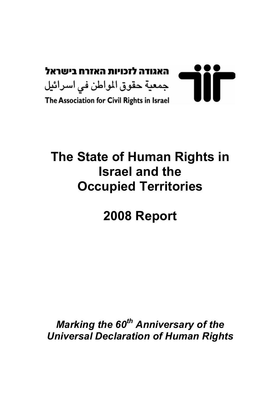

# The State of Human Rights in Israel and the Occupied Territories

# 2008 Report

Marking the  $60<sup>th</sup>$  Anniversary of the Universal Declaration of Human Rights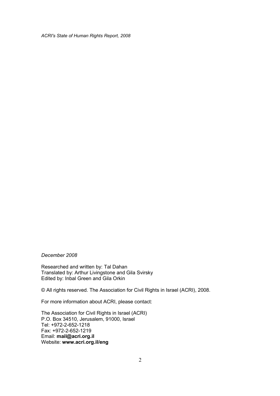December 2008

Researched and written by: Tal Dahan Translated by: Arthur Livingstone and Gila Svirsky Edited by: Inbal Green and Gila Orkin

© All rights reserved. The Association for Civil Rights in Israel (ACRI), 2008.

For more information about ACRI, please contact:

The Association for Civil Rights in Israel (ACRI) P.O. Box 34510, Jerusalem, 91000, Israel Tel: +972-2-652-1218 Fax: +972-2-652-1219 Email: mail@acri.org.il Website: www.acri.org.il/eng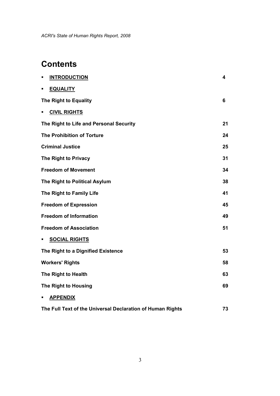# **Contents**

| <b>INTRODUCTION</b><br>٠                                   | 4  |
|------------------------------------------------------------|----|
| <b>EQUALITY</b><br>٠                                       |    |
| The Right to Equality                                      | 6  |
| <b>CIVIL RIGHTS</b><br>×,                                  |    |
| The Right to Life and Personal Security                    | 21 |
| <b>The Prohibition of Torture</b>                          | 24 |
| <b>Criminal Justice</b>                                    | 25 |
| The Right to Privacy                                       | 31 |
| <b>Freedom of Movement</b>                                 | 34 |
| The Right to Political Asylum                              | 38 |
| The Right to Family Life                                   | 41 |
| <b>Freedom of Expression</b>                               | 45 |
| <b>Freedom of Information</b>                              | 49 |
| <b>Freedom of Association</b>                              | 51 |
| <b>SOCIAL RIGHTS</b><br>٠                                  |    |
| The Right to a Dignified Existence                         | 53 |
| <b>Workers' Rights</b>                                     | 58 |
| The Right to Health                                        | 63 |
| The Right to Housing                                       | 69 |
| <b>APPENDIX</b><br>٠                                       |    |
| The Full Text of the Universal Declaration of Human Rights | 73 |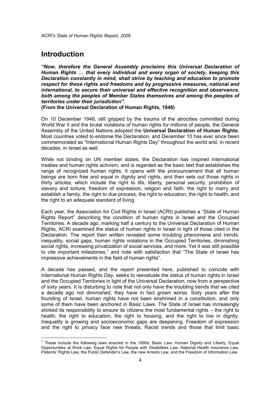# **Introduction**

"Now, therefore the General Assembly proclaims this Universal Declaration of Human Rights … that every individual and every organ of society, keeping this Declaration constantly in mind, shall strive by teaching and education to promote respect for these rights and freedoms and by progressive measures, national and international, to secure their universal and effective recognition and observance, both among the peoples of Member States themselves and among the peoples of territories under their jurisdiction".

(From the Universal Declaration of Human Rights, 1948)

On 10 December 1948, still gripped by the trauma of the atrocities committed during World War II and the brutal violations of human rights for millions of people, the General Assembly of the United Nations adopted the Universal Declaration of Human Rights. Most countries voted to endorse the Declaration, and December 10 has ever since been commemorated as "International Human Rights Day" throughout the world and, in recent decades, in Israel as well.

While not binding on UN member states, the Declaration has inspired international treaties and human rights activism, and is regarded as the basic text that establishes the range of recognized human rights. It opens with the pronouncement that all human beings are born free and equal in dignity and rights, and then sets out those rights in thirty articles, which include the right to life, liberty, personal security, prohibition of slavery and torture, freedom of expression, religion and faith, the right to marry and establish a family, the right to due process, the right to education, the right to health, and the right to an adequate standard of living.

Each year, the Association for Civil Rights in Israel (ACRI) publishes a "State of Human Rights Report" describing the condition of human rights in Israel and the Occupied Territories. A decade ago, marking half a century to the Universal Declaration of Human Rights, ACRI examined the status of human rights in Israel in light of those cited in the Declaration. The report then written revealed some troubling phenomena and trends: inequality, social gaps, human rights violations in the Occupied Territories, diminishing social rights, increasing privatization of social services, and more. Yet it was still possible to cite important milestones,<sup>1</sup> and note with satisfaction that "The State of Israel has impressive achievements in the field of human rights".

A decade has passed, and the report presented here, published to coincide with International Human Rights Day, seeks to reevaluate the status of human rights in Israel and the Occupied Territories in light of the Universal Declaration, now from a perspective of sixty years. It is disturbing to note that not only have the troubling trends that we cited a decade ago not diminished, they have in fact grown worse. Sixty years after the founding of Israel, human rights have not been enshrined in a constitution, and only some of them have been anchored in Basic Laws. The State of Israel has increasingly shirked its responsibility to ensure its citizens the most fundamental rights – the right to health, the right to education, the right to housing, and the right to live in dignity. Inequality is growing and socioeconomic gaps are deepening. Freedom of expression and the right to privacy face new threats. Racist trends and those that limit basic

<sup>————————————————————&</sup>lt;br><sup>1</sup> These include the following laws enacted in the 1990s: Basic Law: Human Dignity and Liberty, Equal Opportunities at Work Law, Equal Rights for People with Disabilities Law, National Health Insurance Law, Patients' Rights Law, the Public Defender's Law, the new Arrests Law, and the Freedom of Information Law.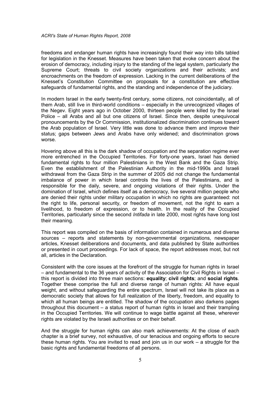freedoms and endanger human rights have increasingly found their way into bills tabled for legislation in the Knesset. Measures have been taken that evoke concern about the erosion of democracy, including injury to the standing of the legal system, particularly the Supreme Court; threats to civil society organizations and their activists; and encroachments on the freedom of expression. Lacking in the current deliberations of the Knesset's Constitution Committee on proposals for a constitution are effective safeguards of fundamental rights, and the standing and independence of the judiciary.

In modern Israel in the early twenty-first century, some citizens, not coincidentally, all of them Arab, still live in third-world conditions – especially in the unrecognized villages of the Negev. Eight years ago in October 2000, thirteen people were killed by the Israel Police – all Arabs and all but one citizens of Israel. Since then, despite unequivocal pronouncements by the Or Commission, institutionalized discrimination continues toward the Arab population of Israel. Very little was done to advance them and improve their status; gaps between Jews and Arabs have only widened; and discrimination grows worse.

Hovering above all this is the dark shadow of occupation and the separation regime ever more entrenched in the Occupied Territories. For forty-one years, Israel has denied fundamental rights to four million Palestinians in the West Bank and the Gaza Strip. Even the establishment of the Palestinian Authority in the mid-1990s and Israeli withdrawal from the Gaza Strip in the summer of 2005 did not change the fundamental imbalance of power in which Israel controls the lives of the Palestinians, and is responsible for the daily, severe, and ongoing violations of their rights. Under the domination of Israel, which defines itself as a democracy, live several million people who are denied their rights under military occupation in which no rights are guaranteed: not the right to life, personal security, or freedom of movement, not the right to earn a livelihood, to freedom of expression, or to health. In the reality of the Occupied Territories, particularly since the second Intifada in late 2000, most rights have long lost their meaning.

This report was compiled on the basis of information contained in numerous and diverse sources – reports and statements by non-governmental organizations, newspaper articles, Knesset deliberations and documents, and data published by State authorities or presented in court proceedings. For lack of space, the report addresses most, but not all, articles in the Declaration.

Consistent with the core issues at the forefront of the struggle for human rights in Israel – and fundamental to the 36 years of activity of the Association for Civil Rights in Israel – this report is divided into three main sections: equality; civil rights; and social rights. Together these comprise the full and diverse range of human rights: All have equal weight, and without safeguarding the entire spectrum, Israel will not take its place as a democratic society that allows for full realization of the liberty, freedom, and equality to which all human beings are entitled. The shadow of the occupation also darkens pages throughout this document – a status report of human rights in Israel and their trampling in the Occupied Territories. We will continue to wage battle against all these, wherever rights are violated by the Israeli authorities or on their behalf.

And the struggle for human rights can also mark achievements: At the close of each chapter is a brief survey, not exhaustive, of our tenacious and ongoing efforts to secure these human rights. You are invited to read and join us in our work – a struggle for the basic rights and fundamental freedoms of all persons.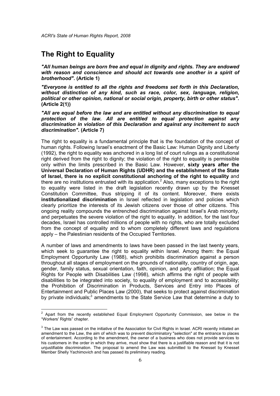# The Right to Equality

"All human beings are born free and equal in dignity and rights. They are endowed with reason and conscience and should act towards one another in a spirit of brotherhood". (Article 1)

"Everyone is entitled to all the rights and freedoms set forth in this Declaration, without distinction of any kind, such as race, color, sex, language, religion, political or other opinion, national or social origin, property, birth or other status". (Article 2(1))

"All are equal before the law and are entitled without any discrimination to equal protection of the law. All are entitled to equal protection against any discrimination in violation of this Declaration and against any incitement to such discrimination". (Article 7)

The right to equality is a fundamental principle that is the foundation of the concept of human rights. Following Israel's enactment of the Basic Law: Human Dignity and Liberty (1992), the right to equality was anchored in a long list of court rulings as a constitutional right derived from the right to dignity; the violation of the right to equality is permissible only within the limits prescribed in the Basic Law. However, sixty years after the Universal Declaration of Human Rights (UDHR) and the establishment of the State of Israel, there is no explicit constitutional anchoring of the right to equality and there are no institutions entrusted with its application.<sup>2</sup> Also, many exceptions to the right to equality were listed in the draft legislation recently drawn up by the Knesset Constitution Committee, thus stripping it of its content. Moreover, there exists institutionalized discrimination in Israel reflected in legislation and policies which clearly prioritize the interests of its Jewish citizens over those of other citizens. This ongoing reality compounds the entrenched discrimination against Israel's Arab minority, and perpetuates the severe violation of the right to equality. In addition, for the last four decades, Israel has controlled millions of people with no rights, who are totally excluded from the concept of equality and to whom completely different laws and regulations apply – the Palestinian residents of the Occupied Territories.

A number of laws and amendments to laws have been passed in the last twenty years, which seek to guarantee the right to equality within Israel. Among them: the Equal Employment Opportunity Law (1988), which prohibits discrimination against a person throughout all stages of employment on the grounds of nationality, country of origin, age, gender, family status, sexual orientation, faith, opinion, and party affiliation; the Equal Rights for People with Disabilities Law (1998), which affirms the right of people with disabilities to be integrated into society, to equality of employment and to accessibility; the Prohibition of Discrimination in Products, Services and Entry into Places of Entertainment and Public Places Law (2000), that seeks to protect against discrimination by private individuals; $<sup>3</sup>$  amendments to the State Service Law that determine a duty to</sup>

 2 Apart from the recently established Equal Employment Opportunity Commission, see below in the "Workers' Rights" chapter.

 $3$  The Law was passed on the initiative of the Association for Civil Rights in Israel. ACRI recently initiated an amendment to the Law, the aim of which was to prevent discriminatory "selection" at the entrance to places of entertainment. According to the amendment, the owner of a business who does not provide services to his customers in the order in which they arrive, must show that there is a justifiable reason and that it is not unjustifiable discrimination. The proposal to amend the Law was submitted to the Knesset by Knesset Member Shelly Yachimovich and has passed its preliminary reading.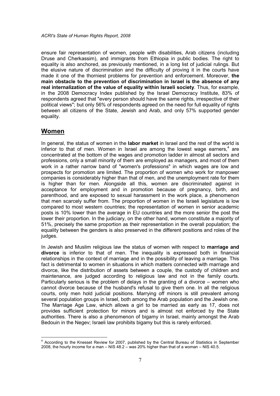ensure fair representation of women, people with disabilities, Arab citizens (including Druse and Cherkassim), and immigrants from Ethiopia in public bodies. The right to equality is also anchored, as previously mentioned, in a long list of judicial rulings. But the elusive nature of discrimination and the difficulty of proving it in the courts have made it one of the thorniest problems for prevention and enforcement. Moreover, the main obstacle to the prevention of discrimination in Israel is the absence of any real internalization of the value of equality within Israeli society. Thus, for example, in the 2008 Democracy Index published by the Israel Democracy Institute, 83% of respondents agreed that "every person should have the same rights, irrespective of their political views"; but only 56% of respondents agreed on the need for full equality of rights between all citizens of the State, Jewish and Arab, and only 57% supported gender equality.

#### Women

In general, the status of women in the **labor market** in Israel and the rest of the world is inferior to that of men. Women in Israel are among the lowest wage earners,<sup>4</sup> are concentrated at the bottom of the wages and promotion ladder in almost all sectors and professions, only a small minority of them are employed as managers, and most of them work in a rather narrow band of "women's professions" in which wages are low and prospects for promotion are limited. The proportion of women who work for manpower companies is considerably higher than that of men, and the unemployment rate for them is higher than for men. Alongside all this, women are discriminated against in acceptance for employment and in promotion because of pregnancy, birth, and parenthood, and are exposed to sexual harassment in the work place, a phenomenon that men scarcely suffer from. The proportion of women in the Israeli legislature is low compared to most western countries; the representation of women in senior academic posts is 10% lower than the average in EU countries and the more senior the post the lower their proportion. In the judiciary, on the other hand, women constitute a majority of 51%, precisely the same proportion as their representation in the overall population; the equality between the genders is also preserved in the different positions and roles of the judges.

In Jewish and Muslim religious law the status of women with respect to marriage and divorce is inferior to that of men. The inequality is expressed both in financial relationships in the context of marriage and in the possibility of leaving a marriage. This fact is detrimental to women in situations in which matters connected with marriage and divorce, like the distribution of assets between a couple, the custody of children and maintenance, are judged according to religious law and not in the family courts. Particularly serious is the problem of delays in the granting of a divorce – women who cannot divorce because of the husband's refusal to give them one. In all the religious courts, only men hold judicial positions. Marrying off minors is still prevalent among several population groups in Israel, both among the Arab population and the Jewish one. The Marriage Age Law, which allows a girl to be married as early as 17, does not provides sufficient protection for minors and is almost not enforced by the State authorities. There is also a phenomenon of bigamy in Israel, mainly amongst the Arab Bedouin in the Negev; Israeli law prohibits bigamy but this is rarely enforced.

 4 According to the Knesset Review for 2007, published by the Central Bureau of Statistics in September 2008, the hourly income for a man – NIS 48.2 – was 20% higher than that of a woman – NIS 40.5.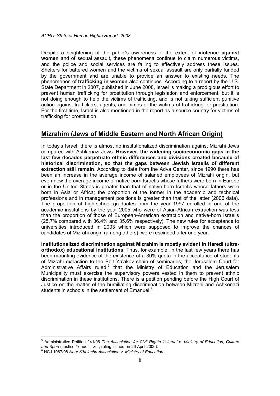Despite a heightening of the public's awareness of the extent of **violence against** women and of sexual assault, these phenomena continue to claim numerous victims, and the police and social services are failing to effectively address these issues. Shelters for battered women and the victims of sexual assault are only partially funded by the government and are unable to provide an answer to existing needs. The phenomenon of trafficking in women also continues. According to a report by the U.S. State Department in 2007, published in June 2008, Israel is making a prodigious effort to prevent human trafficking for prostitution through legislation and enforcement, but it is not doing enough to help the victims of trafficking, and is not taking sufficient punitive action against traffickers, agents, and pimps of the victims of trafficking for prostitution. For the first time, Israel is also mentioned in the report as a source country for victims of trafficking for prostitution.

## Mizrahim (Jews of Middle Eastern and North African Origin)

In today's Israel, there is almost no institutionalized discrimination against Mizrahi Jews compared with Ashkenazi Jews. However, the widening socioeconomic gaps in the last few decades perpetuate ethnic differences and divisions created because of historical discrimination, so that the gaps between Jewish Israelis of different extraction still remain. According to data from the Adva Center, since 1990 there has been an increase in the average income of salaried employees of Mizrahi origin, but even now the average income of native-born Israelis whose fathers were born in Europe or in the United States is greater than that of native-born Israelis whose fathers were born in Asia or Africa; the proportion of the former in the academic and technical professions and in management positions is greater than that of the latter (2006 data). The proportion of high-school graduates from the year 1997 enrolled in one of the academic institutions by the year 2005 who were of Asian-African extraction was less than the proportion of those of European-American extraction and native-born Israelis (25.7% compared with 36.4% and 35.6% respectively). The new rules for acceptance to universities introduced in 2003 which were supposed to improve the chances of candidates of Mizrahi origin (among others), were rescinded after one year.

Institutionalized discrimination against Mizrahim is mostly evident in Haredi (ultraorthodox) educational institutions. Thus, for example, in the last few years there has been mounting evidence of the existence of a 30% quota in the acceptance of students of Mizrahi extraction to the Beit Ya'akov chain of seminaries; the Jerusalem Court for Administrative Affairs ruled,<sup>5</sup> that the Ministry of Education and the Jerusalem Municipality must exercise the supervisory powers vested in them to prevent ethnic discrimination in these institutions. There is a petition pending before the High Court of Justice on the matter of the humiliating discrimination between Mizrahi and Ashkenazi students in schools in the settlement of Emanuel.<sup>6</sup>

 5 Administrative Petition 241/06 The Association for Civil Rights in Israel v. Ministry of Education, Culture and Sport (Justice Yehudit Tzur, ruling issued on 26 April 2006).

 $^6$  HCJ 1067/08 Noar K'halacha Association v. Ministry of Education.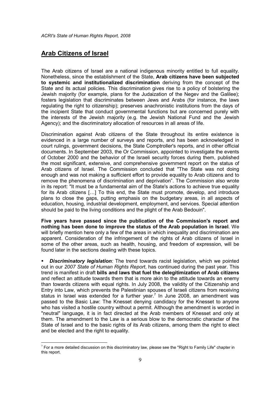## Arab Citizens of Israel

-

The Arab citizens of Israel are a national indigenous minority entitled to full equality. Nonetheless, since the establishment of the State, Arab citizens have been subjected to systemic and institutionalized discrimination deriving from the concept of the State and its actual policies. This discrimination gives rise to a policy of bolstering the Jewish majority (for example, plans for the Judaization of the Negev and the Galilee); fosters legislation that discriminates between Jews and Arabs (for instance, the laws regulating the right to citizenship); preserves anachronistic institutions from the days of the incipient State that conduct governmental functions but are concerned purely with the interests of the Jewish majority (e.g. the Jewish National Fund and the Jewish Agency); and the discriminatory allocation of resources in all areas of life.

Discrimination against Arab citizens of the State throughout its entire existence is evidenced in a large number of surveys and reports, and has been acknowledged in court rulings, government decisions, the State Comptroller's reports, and in other official documents. In September 2003, the Or Commission, appointed to investigate the events of October 2000 and the behavior of the Israeli security forces during them, published the most significant, extensive, and comprehensive government report on the status of Arab citizens of Israel. The Commission concluded that "The State was not doing enough and was not making a sufficient effort to provide equality to Arab citizens and to remove the phenomena of discrimination and deprivation". The Commission also wrote in its report: "It must be a fundamental aim of the State's actions to achieve true equality for its Arab citizens […] To this end, the State must promote, develop, and introduce plans to close the gaps, putting emphasis on the budgetary areas, in all aspects of education, housing, industrial development, employment, and services. Special attention should be paid to the living conditions and the plight of the Arab Bedouin".

Five years have passed since the publication of the Commission's report and nothing has been done to improve the status of the Arab population in Israel. We will briefly mention here only a few of the areas in which inequality and discrimination are apparent. Consideration of the infringement of the rights of Arab citizens of Israel in some of the other areas, such as health, housing, and freedom of expression, will be found later in the sections dealing with these topics.

**Discriminatory legislation**: The trend towards racist legislation, which we pointed out in our 2007 State of Human Rights Report, has continued during the past year. This trend is manifest in draft bills and laws that fuel the delegitimization of Arab citizens and reflect an attitude towards them that is more akin to the attitude towards an enemy than towards citizens with equal rights. In July 2008, the validity of the Citizenship and Entry into Law, which prevents the Palestinian spouses of Israeli citizens from receiving status in Israel was extended for a further year.<sup>7</sup> In June 2008, an amendment was passed to the Basic Law: The Knesset denying candidacy for the Knesset to anyone who has visited a hostile country without a permit. Although the amendment is worded in "neutral" language, it is in fact directed at the Arab members of Knesset and only at them. The amendment to the Law is a serious blow to the democratic character of the State of Israel and to the basic rights of its Arab citizens, among them the right to elect and be elected and the right to equality.

 $^7$  For a more detailed discussion on this discriminatory law, please see the "Right to Family Life" chapter in this report.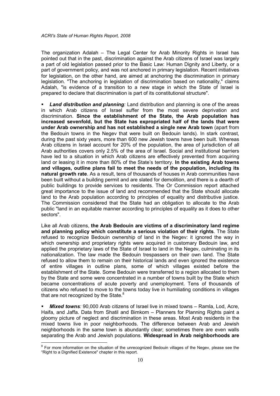The organization Adalah – The Legal Center for Arab Minority Rights in Israel has pointed out that in the past, discrimination against the Arab citizens of Israel was largely a part of old legislation passed prior to the Basic Law: Human Dignity and Liberty, or a part of government policy, and was not anchored in primary legislation. Recent initiatives for legislation, on the other hand, are aimed at anchoring the discrimination in primary legislation. "The anchoring in legislation of discrimination based on nationality," claims Adalah, "is evidence of a transition to a new stage in which the State of Israel is prepared to declare that discrimination is part of its constitutional structure".

Land distribution and planning: Land distribution and planning is one of the areas in which Arab citizens of Israel suffer from the most severe deprivation and discrimination. Since the establishment of the State, the Arab population has increased sevenfold, but the State has expropriated half of the lands that were under Arab ownership and has not established a single new Arab town (apart from the Bedouin towns in the Negev that were built on Bedouin lands). In stark contrast, during the past sixty years, more than 600 new Jewish towns have been built. Whereas Arab citizens in Israel account for 20% of the population, the area of jurisdiction of all Arab authorities covers only 2.5% of the area of Israel. Social and institutional barriers have led to a situation in which Arab citizens are effectively prevented from acquiring land or leasing it in more than 80% of the State's territory. In the existing Arab towns and villages, outline plans fail to meet the needs of the population, including its natural growth rate. As a result, tens of thousands of houses in Arab communities have been built without a building permit and are slated for demolition, and there is a dearth of public buildings to provide services to residents. The Or Commission report attached great importance to the issue of land and recommended that the State should allocate land to the Arab population according to principles of equality and distributive justice. The Commission considered that the State had an obligation to allocate to the Arab public "land in an equitable manner according to principles of equality as it does to other sectors".

Like all Arab citizens, the Arab Bedouin are victims of a discriminatory land regime and planning policy which constitute a serious violation of their rights. The State refused to recognize Bedouin ownership of land in the Negev: it ignored the way in which ownership and proprietary rights were acquired in customary Bedouin law, and applied the proprietary laws of the State of Israel to land in the Negev, culminating in its nationalization. The law made the Bedouin trespassers on their own land. The State refused to allow them to remain on their historical lands and even ignored the existence of entire villages in outline plans, some of which villages existed before the establishment of the State. Some Bedouin were transferred to a region allocated to them by the State and some were concentrated in a number of towns built by the State which became concentrations of acute poverty and unemployment. Tens of thousands of citizens who refused to move to the towns today live in humiliating conditions in villages that are not recognized by the State. $8$ 

**Mixed towns:** 90,000 Arab citizens of Israel live in mixed towns – Ramla, Lod, Acre, Haifa, and Jaffa. Data from Shatil and Bimkom – Planners for Planning Rights paint a gloomy picture of neglect and discrimination in these areas. Most Arab residents in the mixed towns live in poor neighborhoods. The difference between Arab and Jewish neighborhoods in the same town is abundantly clear; sometimes there are even walls separating the Arab and Jewish populations. Widespread in Arab neighborhoods are

 $\overline{\phantom{a}}$ 

<sup>&</sup>lt;sup>8</sup> For more information on the situation of the unrecognized Bedouin villages of the Negev, please see the "Right to a Dignified Existence" chapter in this report.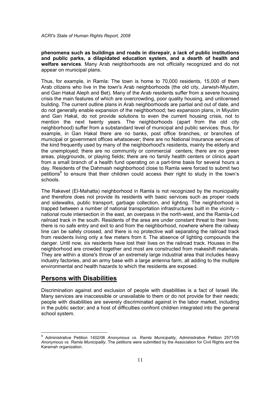phenomena such as buildings and roads in disrepair, a lack of public institutions and public parks, a dilapidated education system, and a dearth of health and welfare services. Many Arab neighborhoods are not officially recognized and do not appear on municipal plans.

Thus, for example, in Ramla: The town is home to 70,000 residents, 15,000 of them Arab citizens who live in the town's Arab neighborhoods (the old city, Jarwish-Miyutim, and Gan Hakal Aleph and Bet). Many of the Arab residents suffer from a severe housing crisis the main features of which are overcrowding, poor quality housing, and unlicensed building. The current outline plans in Arab neighborhoods are partial and out of date, and do not generally enable expansion of the neighborhood; two expansion plans, in Miyutim and Gan Hakal, do not provide solutions to even the current housing crisis, not to mention the next twenty years. The neighborhoods (apart from the old city neighborhood) suffer from a substandard level of municipal and public services: thus, for example, in Gan Hakal there are no banks, post office branches, or branches of municipal or government offices whatsoever; there are no National Insurance services of the kind frequently used by many of the neighborhood's residents, mainly the elderly and the unemployed; there are no community or commercial centers; there are no green areas, playgrounds, or playing fields; there are no family health centers or clinics apart from a small branch of a health fund operating on a part-time basis for several hours a day. Residents of the Dahmash neighborhood close to Ramla were forced to submit two petitions<sup>9</sup> to ensure that their children could access their right to study in the town's schools.

The Rakevet (El-Mahatta) neighborhood in Ramla is not recognized by the municipality and therefore does not provide its residents with basic services such as proper roads and sidewalks, public transport, garbage collection, and lighting. The neighborhood is trapped between a number of national transportation infrastructures built in the vicinity – national route intersection in the east, an overpass in the north-west, and the Ramla-Lod railroad track in the south. Residents of the area are under constant threat to their lives; there is no safe entry and exit to and from the neighborhood, nowhere where the railway line can be safely crossed, and there is no protective wall separating the railroad track from residents living only a few meters from it. The absence of lighting compounds the danger. Until now, six residents have lost their lives on the railroad track. Houses in the neighborhood are crowded together and most are constructed from makeshift materials. They are within a stone's throw of an extremely large industrial area that includes heavy industry factories, and an army base with a large antenna farm, all adding to the multiple environmental and health hazards to which the residents are exposed.

#### Persons with Disabilities

 $\overline{\phantom{a}}$ 

Discrimination against and exclusion of people with disabilities is a fact of Israeli life. Many services are inaccessible or unavailable to them or do not provide for their needs; people with disabilities are severely discriminated against in the labor market, including in the public sector; and a host of difficulties confront children integrated into the general school system.

<sup>9</sup> Administrative Petition 1402/06 Anonymous vs. Ramla Municipality, Administrative Petition 2571/05 Anonymous vs. Ramla Municipality. The petitions were submitted by the Association for Civil Rights and the Karamah organization.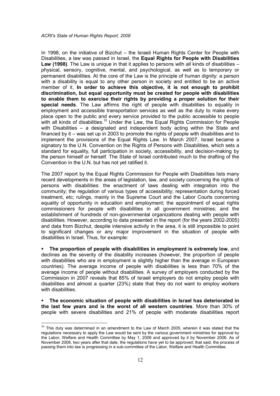In 1998, on the initiative of Bizchut – the Israeli Human Rights Center for People with Disabilities, a law was passed in Israel, the Equal Rights for People with Disabilities Law (1998). The Law is unique in that it applies to persons with all kinds of disabilities physical, sensory, cognitive, mental, and psychological, as well as to temporary or permanent disabilities. At the core of the Law is the principle of human dignity: a person with a disability is equal to any other person in society and entitled to be an active member of it. In order to achieve this objective, it is not enough to prohibit discrimination, but equal opportunity must be created for people with disabilities to enable them to exercise their rights by providing a proper solution for their special needs. The Law affirms the right of people with disabilities to equality in employment and accessible transportation services as well as the duty to make every place open to the public and every service provided to the public accessible to people with all kinds of disabilities.<sup>10</sup> Under the Law, the Equal Rights Commission for People with Disabilities – a designated and independent body acting within the State and financed by it – was set up in 2003 to promote the rights of people with disabilities and to implement the provisions of the Equal Rights Law. In March 2007, Israel became a signatory to the U.N. Convention on the Rights of Persons with Disabilities, which sets a standard for equality, full participation in society, accessibility, and decision-making by the person himself or herself. The State of Israel contributed much to the drafting of the Convention in the U.N. but has not yet ratified it.

The 2007 report by the Equal Rights Commission for People with Disabilities lists many recent developments in the areas of legislation, law, and society concerning the rights of persons with disabilities: the enactment of laws dealing with integration into the community; the regulation of various types of accessibility; representation during forced treatment, etc; rulings, mainly in the Supreme Court and the Labor Courts concerning equality of opportunity in education and employment; the appointment of equal rights commissioners for people with disabilities in all government ministries; and the establishment of hundreds of non-governmental organizations dealing with people with disabilities. However, according to data presented in the report (for the years 2002-2005) and data from Bizchut, despite intensive activity in the area, it is still impossible to point to significant changes or any major improvement in the situation of people with disabilities in Israel. Thus, for example:

 The proportion of people with disabilities in employment is extremely low, and declines as the severity of the disability increases (however, the proportion of people with disabilities who are in employment is slightly higher than the average in European countries). The average income of people with disabilities is less than 70% of the average income of people without disabilities. A survey of employers conducted by the Commission in 2007 reveals that 85% of Israeli employers do not employ people with disabilities and almost a quarter (23%) state that they do not want to employ workers with disabilities.

 The economic situation of people with disabilities in Israel has deteriorated in the last few years and is the worst of all western countries. More than 30% of people with severe disabilities and 21% of people with moderate disabilities report

 $\overline{\phantom{a}}$ 

 $10$  This duty was determined in an amendment to the Law of March 2005, wherein it was stated that the regulations necessary to apply the Law would be sent by the various government ministries for approval by the Labor, Welfare and Health Committee by May 1, 2006 and approved by it by November 2006. As of November 2008, two years after that date, the regulations have yet to be approved; that said, the process of passing them into law is progressing in a sub-committee of the Labor, Welfare and Health Committee.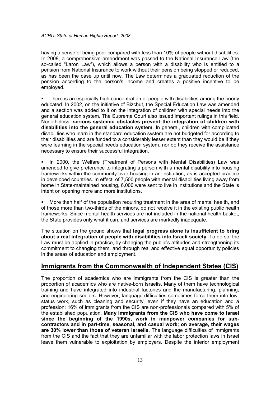having a sense of being poor compared with less than 10% of people without disabilities. In 2008, a comprehensive amendment was passed to the National Insurance Law (the so-called "Laron Law"), which allows a person with a disability who is entitled to a pension from National Insurance to work without their pension being stopped or reduced, as has been the case up until now. The Law determines a graduated reduction of the pension according to the person's income and creates a positive incentive to be employed.

• There is an especially high concentration of people with disabilities among the poorly educated. In 2002, on the initiative of Bizchut, the Special Education Law was amended and a section was added to it on the integration of children with special needs into the general education system. The Supreme Court also issued important rulings in this field. Nonetheless, serious systemic obstacles prevent the integration of children with disabilities into the general education system. In general, children with complicated disabilities who learn in the standard education system are not budgeted for according to their disabilities and are funded to a considerably lesser extent than they would be if they were learning in the special needs education system, nor do they receive the assistance necessary to ensure their successful integration.

**In 2000, the Welfare (Treatment of Persons with Mental Disabilities) Law was** amended to give preference to integrating a person with a mental disability into housing frameworks within the community over housing in an institution, as is accepted practice in developed countries. In effect, of 7,500 people with mental disabilities living away from home in State-maintained housing, 6,000 were sent to live in institutions and the State is intent on opening more and more institutions.

 More than half of the population requiring treatment in the area of mental health, and of those more than two-thirds of the minors, do not receive it in the existing public health frameworks. Since mental health services are not included in the national health basket, the State provides only what it can, and services are markedly inadequate.

The situation on the ground shows that legal progress alone is insufficient to bring about a real integration of people with disabilities into Israeli society. To do so, the Law must be applied in practice, by changing the public's attitudes and strengthening its commitment to changing them, and through real and effective equal opportunity policies in the areas of education and employment.

#### Immigrants from the Commonwealth of Independent States (CIS)

The proportion of academics who are immigrants from the CIS is greater than the proportion of academics who are native-born Israelis. Many of them have technological training and have integrated into industrial factories and the manufacturing, planning, and engineering sectors. However, language difficulties sometimes force them into lowstatus work, such as cleaning and security, even if they have an education and a profession: 16% of immigrants from the CIS are non-professionals compared with 5% of the established population. Many immigrants from the CIS who have come to Israel since the beginning of the 1990s, work in manpower companies for subcontractors and in part-time, seasonal, and casual work; on average, their wages are 30% lower than those of veteran Israelis. The language difficulties of immigrants from the CIS and the fact that they are unfamiliar with the labor protection laws in Israel leave them vulnerable to exploitation by employers. Despite the inferior employment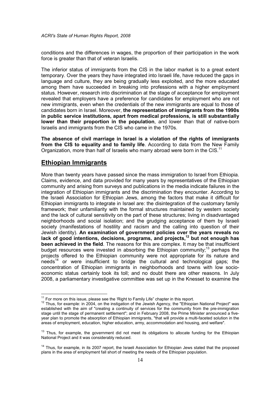conditions and the differences in wages, the proportion of their participation in the work force is greater than that of veteran Israelis.

The inferior status of immigrants from the CIS in the labor market is to a great extent temporary. Over the years they have integrated into Israeli life, have reduced the gaps in language and culture, they are being gradually less exploited, and the more educated among them have succeeded in breaking into professions with a higher employment status. However, research into discrimination at the stage of acceptance for employment revealed that employers have a preference for candidates for employment who are not new immigrants, even when the credentials of the new immigrants are equal to those of candidates born in Israel. Moreover, the representation of immigrants from the 1990s in public service institutions, apart from medical professions, is still substantially lower than their proportion in the population, and lower than that of native-born Israelis and immigrants from the CIS who came in the 1970s.

The absence of civil marriage in Israel is a violation of the rights of immigrants from the CIS to equality and to family life. According to data from the New Family Organization, more than half of Israelis who marry abroad were born in the CIS.<sup>11</sup>

#### Ethiopian Immigrants

More than twenty years have passed since the mass immigration to Israel from Ethiopia. Claims, evidence, and data provided for many years by representatives of the Ethiopian community and arising from surveys and publications in the media indicate failures in the integration of Ethiopian immigrants and the discrimination they encounter. According to the Israeli Association for Ethiopian Jews, among the factors that make it difficult for Ethiopian immigrants to integrate in Israel are: the disintegration of the customary family framework; their unfamiliarity with the formal structures maintained by western society and the lack of cultural sensitivity on the part of these structures; living in disadvantaged neighborhoods and social isolation; and the grudging acceptance of them by Israeli society (manifestations of hostility and racism and the calling into question of their Jewish identity). An examination of government policies over the years reveals no lack of good intentions, decisions, programs, and projects, $12$  but not enough has been achieved in the field. The reasons for this are complex. It may be that insufficient budget resources were invested in absorbing the Ethiopian community;<sup>13</sup> perhaps the projects offered to the Ethiopian community were not appropriate for its nature and  $n$ eeds<sup>14</sup> or were insufficient to bridge the cultural and technological gaps; the concentration of Ethiopian immigrants in neighborhoods and towns with low socioeconomic status certainly took its toll; and no doubt there are other reasons. In July 2008, a parliamentary investigative committee was set up in the Knesset to examine the

 $\overline{\phantom{a}}$  $11$  For more on this issue, please see the 'Right to Family Life" chapter in this report.

<sup>&</sup>lt;sup>12</sup> Thus, for example: in 2004, on the instigation of the Jewish Agency, the "Ethiopian National Project" was established with the aim of "creating a continuity of services for the community from the pre-immigration stage until the stage of permanent settlement"; and in February 2008, the Prime Minister announced a fiveyear plan to promote the absorption of Ethiopian immigrants, "that will provide a multi-faceted solution in the areas of employment, education, higher education, army, accommodation and housing, and welfare".

<sup>&</sup>lt;sup>13</sup> Thus, for example, the government did not meet its obligations to allocate funding for the Ethiopian National Project and it was considerably reduced.

<sup>&</sup>lt;sup>14</sup> Thus, for example, in its 2007 report, the Israeli Association for Ethiopian Jews stated that the proposed plans in the area of employment fall short of meeting the needs of the Ethiopian population.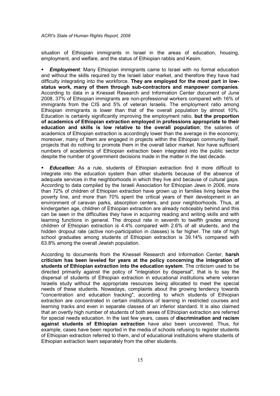situation of Ethiopian immigrants in Israel in the areas of education, housing, employment, and welfare, and the status of Ethiopian rabbis and Kesim.

**Employment:** Many Ethiopian immigrants came to Israel with no formal education and without the skills required by the Israeli labor market, and therefore they have had difficulty integrating into the workforce. They are employed for the most part in lowstatus work, many of them through sub-contractors and manpower companies. According to data in a Knesset Research and Information Center document of June 2008, 37% of Ethiopian immigrants are non-professional workers compared with 16% of immigrants from the CIS and 5% of veteran Israelis. The employment ratio among Ethiopian immigrants is lower than that of the overall population by almost 10%. Education is certainly significantly improving the employment ratio, but the proportion of academics of Ethiopian extraction employed in professions appropriate to their education and skills is low relative to the overall population; the salaries of academics of Ethiopian extraction is accordingly lower than the average in the economy; moreover, many of them are engaged in projects within the Ethiopian community itself, projects that do nothing to promote them in the overall labor market. Nor have sufficient numbers of academics of Ethiopian extraction been integrated into the public sector despite the number of government decisions made in the matter in the last decade.

**Education**: As a rule, students of Ethiopian extraction find it more difficult to integrate into the education system than other students because of the absence of adequate services in the neighborhoods in which they live and because of cultural gaps. According to data compiled by the Israeli Association for Ethiopian Jews in 2006, more than 72% of children of Ethiopian extraction have grown up in families living below the poverty line, and more than 70% spent the critical years of their development in an environment of caravan parks, absorption centers, and poor neighborhoods. Thus, at kindergarten age, children of Ethiopian extraction are already noticeably behind and this can be seen in the difficulties they have in acquiring reading and writing skills and with learning functions in general. The dropout rate in seventh to twelfth grades among children of Ethiopian extraction is 4.4% compared with 2.6% of all students, and the hidden dropout rate (active non-participation in classes) is far higher. The rate of high school graduates among students of Ethiopian extraction is 39.14% compared with 63.8% among the overall Jewish population.

According to documents from the Knesset Research and Information Center, harsh criticism has been leveled for years at the policy concerning the integration of students of Ethiopian extraction into the education system. The criticism used to be directed primarily against the policy of "integration by dispersal", that is to say the dispersal of students of Ethiopian extraction in educational institutions where veteran Israelis study without the appropriate resources being allocated to meet the special needs of these students. Nowadays, complaints about the growing tendency towards "concentration and education tracking", according to which students of Ethiopian extraction are concentrated in certain institutions of learning in restricted courses and learning tracks and even in separate classes of an inferior standard. It is also claimed that an overtly high number of students of both sexes of Ethiopian extraction are referred for special needs education. In the last few years, cases of discrimination and racism against students of Ethiopian extraction have also been uncovered. Thus, for example, cases have been reported in the media of schools refusing to register students of Ethiopian extraction referred to them, and of educational institutions where students of Ethiopian extraction learn separately from the other students.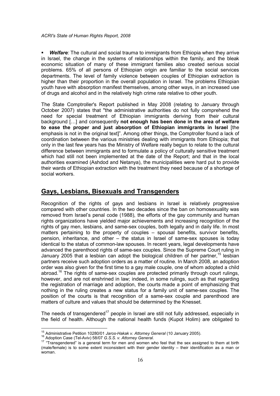**Welfare:** The cultural and social trauma to immigrants from Ethiopia when they arrive in Israel, the change in the systems of relationships within the family, and the bleak economic situation of many of these immigrant families also created serious social problems. 65% of all persons of Ethiopian origin are familiar to the social services departments. The level of family violence between couples of Ethiopian extraction is higher than their proportion in the overall population in Israel. The problems Ethiopian youth have with absorption manifest themselves, among other ways, in an increased use of drugs and alcohol and in the relatively high crime rate relative to other youth.

The State Comptroller's Report published in May 2008 (relating to January through October 2007) states that "the administrative authorities do not fully comprehend the need for special treatment of Ethiopian immigrants deriving from their cultural background […] and consequently not enough has been done in the area of welfare to ease the proper and just absorption of Ethiopian immigrants in Israel [the emphasis is not in the original text]". Among other things, the Comptroller found a lack of coordination between the various ministries dealing with immigrants from Ethiopia; that only in the last few years has the Ministry of Welfare really begun to relate to the cultural difference between immigrants and to formulate a policy of culturally sensitive treatment which had still not been implemented at the date of the Report; and that in the local authorities examined (Ashdod and Netanya), the municipalities were hard put to provide their wards of Ethiopian extraction with the treatment they need because of a shortage of social workers.

## Gays, Lesbians, Bisexuals and Transgenders

Recognition of the rights of gays and lesbians in Israel is relatively progressive compared with other countries. In the two decades since the ban on homosexuality was removed from Israel's penal code (1988), the efforts of the gay community and human rights organizations have yielded major achievements and increasing recognition of the rights of gay men, lesbians, and same-sex couples, both legally and in daily life. In most matters pertaining to the property of couples – spousal benefits, survivor benefits, pension, inheritance, and other – the status in Israel of same-sex spouses is today identical to the status of common-law spouses. In recent years, legal developments have advanced the parenthood rights of same-sex couples. Since the Supreme Court ruling in January 2005 that a lesbian can adopt the biological children of her partner,  $15$  lesbian partners receive such adoption orders as a matter of routine. In March 2008, an adoption order was also given for the first time to a gay male couple, one of whom adopted a child abroad.<sup>16</sup> The rights of same-sex couples are protected primarily through court rulings, however, and are not enshrined in law; indeed, in some rulings, such as that regarding the registration of marriage and adoption, the courts made a point of emphasizing that nothing in the ruling creates a new status for a family unit of same-sex couples. The position of the courts is that recognition of a same-sex couple and parenthood are matters of culture and values that should be determined by the Knesset.

The needs of transgendered<sup>17</sup> people in Israel are still not fully addressed, especially in the field of health. Although the national health funds (Kupot Holim) are obligated to

 $\overline{\phantom{a}}$  $\frac{15}{15}$  Administrative Petition 10280/01 Jaros-Hakak v. Attorney General (10 January 2005).

<sup>16</sup> Adoption Case (Tel-Aviv) 58/07 G.S.S. v. Attorney General.

<sup>&</sup>lt;sup>17</sup> "Transgendered" is a general term for men and women who feel that the sex assigned to them at birth (male/female) is to some extent inconsistent with their gender identity – their identification as a man or woman.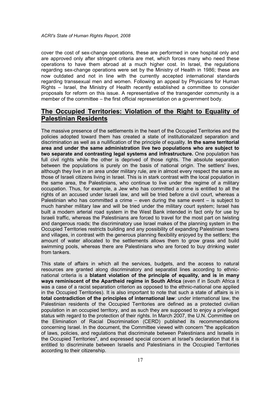cover the cost of sex-change operations, these are performed in one hospital only and are approved only after stringent criteria are met, which forces many who need these operations to have them abroad at a much higher cost. In Israel, the regulations regarding sex-change operations were set by the Ministry of Health in 1986; these are now outdated and not in line with the currently accepted international standards regarding transsexual men and women. Following an appeal by Physicians for Human Rights – Israel, the Ministry of Health recently established a committee to consider proposals for reform on this issue. A representative of the transgender community is a member of the committee – the first official representation on a government body.

## The Occupied Territories: Violation of the Right to Equality of Palestinian Residents

The massive presence of the settlements in the heart of the Occupied Territories and the policies adopted toward them has created a state of institutionalized separation and discrimination as well as a nullification of the principle of equality. In the same territorial area and under the same administration live two populations who are subject to two separate and contrasting legal systems and infrastructure. One population has full civil rights while the other is deprived of those rights. The absolute separation between the populations is purely on the basis of national origin. The settlers' lives, although they live in an area under military rule, are in almost every respect the same as those of Israeli citizens living in Israel. This is in stark contrast with the local population in the same area, the Palestinians, who continue to live under the regime of a military occupation. Thus, for example, a Jew who has committed a crime is entitled to all the rights of an accused under Israeli law, and will be tried before a civil court, whereas a Palestinian who has committed a crime  $-$  even during the same event  $-$  is subject to much harsher military law and will be tried under the military court system; Israel has built a modern arterial road system in the West Bank intended in fact only for use by Israeli traffic, whereas the Palestinians are forced to travel for the most part on twisting and dangerous roads; the discriminatory use Israel makes of the planning system in the Occupied Territories restricts building and any possibility of expanding Palestinian towns and villages, in contrast with the generous planning flexibility enjoyed by the settlers; the amount of water allocated to the settlements allows them to grow grass and build swimming pools, whereas there are Palestinians who are forced to buy drinking water from tankers.

This state of affairs in which all the services, budgets, and the access to natural resources are granted along discriminatory and separatist lines according to ethnicnational criteria is a blatant violation of the principle of equality, and is in many ways reminiscent of the Apartheid regime in South Africa (even if in South Africa it was a case of a racist separation criterion as opposed to the ethnic-national one applied in the Occupied Territories). It is also important to note that such a state of affairs is in total contradiction of the principles of international law: under international law, the Palestinian residents of the Occupied Territories are defined as a protected civilian population in an occupied territory, and as such they are supposed to enjoy a privileged status with regard to the protection of their rights. In March 2007, the U.N. Committee on the Elimination of Racial Discrimination (CERD) published its recommendations concerning Israel. In the document, the Committee viewed with concern "the application of laws, policies, and regulations that discriminate between Palestinians and Israelis in the Occupied Territories", and expressed special concern at Israel's declaration that it is entitled to discriminate between Israelis and Palestinians in the Occupied Territories according to their citizenship.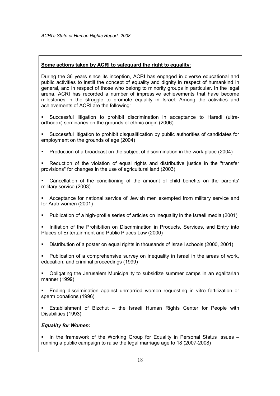#### Some actions taken by ACRI to safeguard the right to equality:

During the 36 years since its inception, ACRI has engaged in diverse educational and public activities to instill the concept of equality and dignity in respect of humankind in general, and in respect of those who belong to minority groups in particular. In the legal arena, ACRI has recorded a number of impressive achievements that have become milestones in the struggle to promote equality in Israel. Among the activities and achievements of ACRI are the following:

 Successful litigation to prohibit discrimination in acceptance to Haredi (ultraorthodox) seminaries on the grounds of ethnic origin (2006)

 Successful litigation to prohibit disqualification by public authorities of candidates for employment on the grounds of age (2004)

**Production of a broadcast on the subject of discrimination in the work place (2004)** 

 Reduction of the violation of equal rights and distributive justice in the "transfer provisions" for changes in the use of agricultural land (2003)

 Cancellation of the conditioning of the amount of child benefits on the parents' military service (2003)

 Acceptance for national service of Jewish men exempted from military service and for Arab women (2001)

Publication of a high-profile series of articles on inequality in the Israeli media (2001)

 Initiation of the Prohibition on Discrimination in Products, Services, and Entry into Places of Entertainment and Public Places Law (2000)

- Distribution of a poster on equal rights in thousands of Israeli schools (2000, 2001)
- Publication of a comprehensive survey on inequality in Israel in the areas of work, education, and criminal proceedings (1999)

 Obligating the Jerusalem Municipality to subsidize summer camps in an egalitarian manner (1999)

 Ending discrimination against unmarried women requesting in vitro fertilization or sperm donations (1996)

 Establishment of Bizchut – the Israeli Human Rights Center for People with Disabilities (1993)

#### Equality for Women:

In the framework of the Working Group for Equality in Personal Status Issues – running a public campaign to raise the legal marriage age to 18 (2007-2008)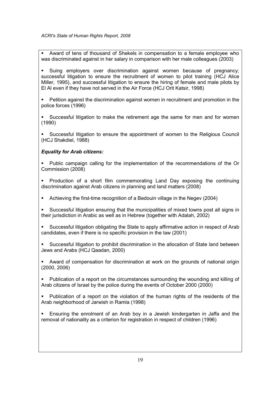Award of tens of thousand of Shekels in compensation to a female employee who was discriminated against in her salary in comparison with her male colleagues (2003)

 Suing employers over discrimination against women because of pregnancy; successful litigation to ensure the recruitment of women to pilot training (HCJ Alice Miller, 1995), and successful litigation to ensure the hiring of female and male pilots by El Al even if they have not served in the Air Force (HCJ Orit Katsir, 1998)

 Petition against the discrimination against women in recruitment and promotion in the police forces (1996)

 Successful litigation to make the retirement age the same for men and for women (1990)

 Successful litigation to ensure the appointment of women to the Religious Council (HCJ Shakdiel, 1988)

#### Equality for Arab citizens:

 Public campaign calling for the implementation of the recommendations of the Or Commission (2008)

 Production of a short film commemorating Land Day exposing the continuing discrimination against Arab citizens in planning and land matters (2008)

Achieving the first-time recognition of a Bedouin village in the Negev (2004)

 Successful litigation ensuring that the municipalities of mixed towns post all signs in their jurisdiction in Arabic as well as in Hebrew (together with Adalah, 2002)

 Successful litigation obligating the State to apply affirmative action in respect of Arab candidates, even if there is no specific provision in the law (2001)

 Successful litigation to prohibit discrimination in the allocation of State land between Jews and Arabs (HCJ Qaadan, 2000)

 Award of compensation for discrimination at work on the grounds of national origin (2000, 2006)

 Publication of a report on the circumstances surrounding the wounding and killing of Arab citizens of Israel by the police during the events of October 2000 (2000)

 Publication of a report on the violation of the human rights of the residents of the Arab neighborhood of Jarwish in Ramla (1998)

 Ensuring the enrolment of an Arab boy in a Jewish kindergarten in Jaffa and the removal of nationality as a criterion for registration in respect of children (1996)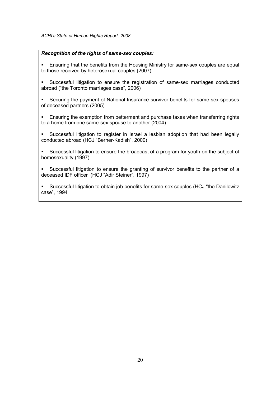#### Recognition of the rights of same-sex couples:

- Ensuring that the benefits from the Housing Ministry for same-sex couples are equal to those received by heterosexual couples (2007)
- Successful litigation to ensure the registration of same-sex marriages conducted abroad ("the Toronto marriages case", 2006)
- Securing the payment of National Insurance survivor benefits for same-sex spouses of deceased partners (2005)
- Ensuring the exemption from betterment and purchase taxes when transferring rights to a home from one same-sex spouse to another (2004)
- Successful litigation to register in Israel a lesbian adoption that had been legally conducted abroad (HCJ "Berner-Kadish", 2000)
- Successful litigation to ensure the broadcast of a program for youth on the subject of homosexuality (1997)
- Successful litigation to ensure the granting of survivor benefits to the partner of a deceased IDF officer (HCJ "Adir Steiner", 1997)
- Successful litigation to obtain job benefits for same-sex couples (HCJ "the Danilowitz case", 1994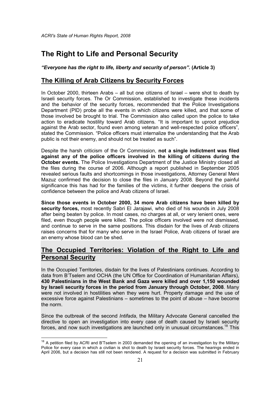# The Right to Life and Personal Security

"Everyone has the right to life, liberty and security of person". (Article 3)

## The Killing of Arab Citizens by Security Forces

In October 2000, thirteen Arabs – all but one citizens of Israel – were shot to death by Israeli security forces. The Or Commission, established to investigate these incidents and the behavior of the security forces, recommended that the Police Investigations Department (PID) probe all the events in which citizens were killed, and that some of those involved be brought to trial. The Commission also called upon the police to take action to eradicate hostility toward Arab citizens. "It is important to uproot prejudice against the Arab sector, found even among veteran and well-respected police officers", stated the Commission. "Police officers must internalize the understanding that the Arab public is not their enemy, and should not be treated as such".

Despite the harsh criticism of the Or Commission, not a single indictment was filed against any of the police officers involved in the killing of citizens during the October events. The Police Investigations Department of the Justice Ministry closed all the files during the course of 2006. Although a report published in September 2005 revealed serious faults and shortcomings in those investigations, Attorney General Meni Mazuz confirmed the decision to close the files in January 2008. Beyond the painful significance this has had for the families of the victims, it further deepens the crisis of confidence between the police and Arab citizens of Israel.

Since those events in October 2000, 34 more Arab citizens have been killed by security forces, most recently Sabri El Jarajawi, who died of his wounds in July 2008 after being beaten by police. In most cases, no charges at all, or very lenient ones, were filed, even though people were killed. The police officers involved were not dismissed, and continue to serve in the same positions. This disdain for the lives of Arab citizens raises concerns that for many who serve in the Israel Police, Arab citizens of Israel are an enemy whose blood can be shed.

## The Occupied Territories: Violation of the Right to Life and Personal Security

In the Occupied Territories, disdain for the lives of Palestinians continues. According to data from B'Tselem and OCHA (the UN Office for Coordination of Humanitarian Affairs), 430 Palestinians in the West Bank and Gaza were killed and over 1,150 wounded by Israeli security forces in the period from January through October, 2008. Many were not involved in hostilities when they were hurt. Property damage and the use of excessive force against Palestinians – sometimes to the point of abuse – have become the norm.

Since the outbreak of the second Intifada, the Military Advocate General cancelled the directive to open an investigation into every case of death caused by Israeli security forces, and now such investigations are launched only in unusual circumstances.<sup>18</sup> This

 $\overline{\phantom{a}}$  $18$  A petition filed by ACRI and B'Tselem in 2003 demanded the opening of an investigation by the Military Police for every case in which a civilian is shot to death by Israeli security forces. The hearings ended in April 2006, but a decision has still not been rendered. A request for a decision was submitted in February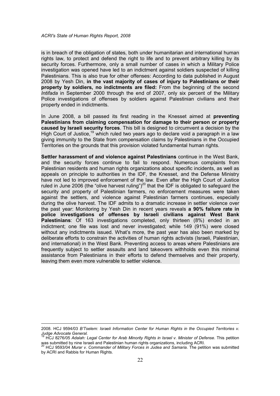is in breach of the obligation of states, both under humanitarian and international human rights law, to protect and defend the right to life and to prevent arbitrary killing by its security forces. Furthermore, only a small number of cases in which a Military Police investigation was opened have led to an indictment against soldiers suspected of killing Palestinians. This is also true for other offenses: According to data published in August 2008 by Yesh Din, in the vast majority of cases of injury to Palestinians or their property by soldiers, no indictments are filed: From the beginning of the second Intifada in September 2000 through the end of 2007, only six percent of the Military Police investigations of offenses by soldiers against Palestinian civilians and their property ended in indictments.

In June 2008, a bill passed its first reading in the Knesset aimed at **preventing** Palestinians from claiming compensation for damage to their person or property caused by Israeli security forces. This bill is designed to circumvent a decision by the High Court of Justice,<sup>19</sup> which ruled two years ago to declare void a paragraph in a law giving immunity to the State from compensation claims by Palestinians in the Occupied Territories on the grounds that this provision violated fundamental human rights.

Settler harassment of and violence against Palestinians continue in the West Bank, and the security forces continue to fail to respond. Numerous complaints from Palestinian residents and human rights organizations about specific incidents, as well as appeals on principle to authorities in the IDF, the Knesset, and the Defense Ministry have not led to improved enforcement of the law. Even after the High Court of Justice ruled in June 2006 (the "olive harvest ruling")<sup>20</sup> that the IDF is obligated to safeguard the security and property of Palestinian farmers, no enforcement measures were taken against the settlers, and violence against Palestinian farmers continues, especially during the olive harvest. The IDF admits to a dramatic increase in settler violence over the past year: Monitoring by Yesh Din in recent years reveals a 90% failure rate in police investigations of offenses by Israeli civilians against West Bank **Palestinians:** Of 163 investigations completed, only thirteen (8%) ended in an indictment; one file was lost and never investigated; while 149 (91%) were closed without any indictments issued. What's more, the past year has also been marked by deliberate efforts to constrain the activities of human rights activists (Israeli, Palestinian, and international) in the West Bank. Preventing access to areas where Palestinians are frequently subject to settler assaults and land takeovers withholds even this minimal assistance from Palestinians in their efforts to defend themselves and their property, leaving them even more vulnerable to settler violence.

l

<sup>2008.</sup> HCJ 9594/03 B'Tselem: Israeli Information Center for Human Rights in the Occupied Territories v. Judge Advocate General.

 $^9$  HCJ 8276/05 Adalah: Legal Center for Arab Minority Rights in Israel v. Minister of Defense. This petition  $\,$ 

was submitted by nine Israeli and Palestinian human rights organizations, including ACRI.<br><sup>20</sup> HCJ 9593/04 *Murar v. Commander of Military Forces in Judea and Samaria*. The petition was submitted by ACRI and Rabbis for Human Rights.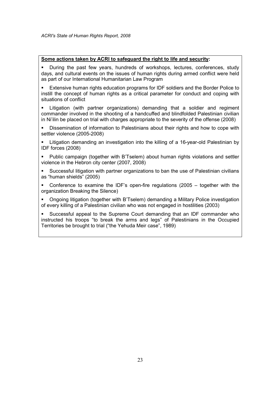#### Some actions taken by ACRI to safeguard the right to life and security:

 During the past few years, hundreds of workshops, lectures, conferences, study days, and cultural events on the issues of human rights during armed conflict were held as part of our International Humanitarian Law Program

 Extensive human rights education programs for IDF soldiers and the Border Police to instill the concept of human rights as a critical parameter for conduct and coping with situations of conflict

 Litigation (with partner organizations) demanding that a soldier and regiment commander involved in the shooting of a handcuffed and blindfolded Palestinian civilian in Ni'ilin be placed on trial with charges appropriate to the severity of the offense (2008)

 Dissemination of information to Palestinians about their rights and how to cope with settler violence (2005-2008)

 Litigation demanding an investigation into the killing of a 16-year-old Palestinian by IDF forces (2008)

 Public campaign (together with B'Tselem) about human rights violations and settler violence in the Hebron city center (2007, 2008)

 Successful litigation with partner organizations to ban the use of Palestinian civilians as "human shields" (2005)

 Conference to examine the IDF's open-fire regulations (2005 – together with the organization Breaking the Silence)

 Ongoing litigation (together with B'Tselem) demanding a Military Police investigation of every killing of a Palestinian civilian who was not engaged in hostilities (2003)

 Successful appeal to the Supreme Court demanding that an IDF commander who instructed his troops "to break the arms and legs" of Palestinians in the Occupied Territories be brought to trial ("the Yehuda Meir case", 1989)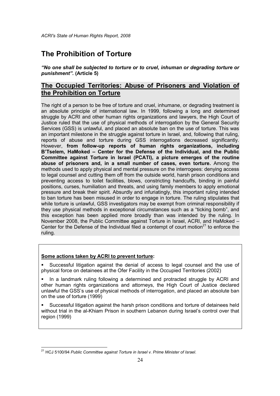# The Prohibition of Torture

"No one shall be subjected to torture or to cruel, inhuman or degrading torture or punishment". (Article 5)

## The Occupied Territories: Abuse of Prisoners and Violation of the Prohibition on Torture

The right of a person to be free of torture and cruel, inhumane, or degrading treatment is an absolute principle of international law. In 1999, following a long and determined struggle by ACRI and other human rights organizations and lawyers, the High Court of Justice ruled that the use of physical methods of interrogation by the General Security Services (GSS) is unlawful, and placed an absolute ban on the use of torture. This was an important milestone in the struggle against torture in Israel, and, following that ruling, reports of abuse and torture during GSS interrogations decreased significantly. However, from follow-up reports of human rights organizations, including B'Tselem, HaMoked – Center for the Defense of the Individual, and the Public Committee against Torture in Israel (PCATI), a picture emerges of the routine abuse of prisoners and, in a small number of cases, even torture. Among the methods used to apply physical and mental pressure on the interrogees: denying access to legal counsel and cutting them off from the outside world, harsh prison conditions and preventing access to toilet facilities, blows, constricting handcuffs, binding in painful positions, curses, humiliation and threats, and using family members to apply emotional pressure and break their spirit. Absurdly and infuriatingly, this important ruling intended to ban torture has been misused in order to engage in torture. The ruling stipulates that while torture is unlawful, GSS investigators may be exempt from criminal responsibility if they use physical methods in exceptional circumstances such as a "ticking bomb", and this exception has been applied more broadly than was intended by the ruling. In November 2008, the Public Committee against Torture in Israel, ACRI, and HaMoked – Center for the Defense of the Individual filed a contempt of court motion<sup>21</sup> to enforce the ruling.

#### Some actions taken by ACRI to prevent torture:

 Successful litigation against the denial of access to legal counsel and the use of physical force on detainees at the Ofer Facility in the Occupied Territories (2002)

In a landmark ruling following a determined and protracted struggle by ACRI and other human rights organizations and attorneys, the High Court of Justice declared unlawful the GSS's use of physical methods of interrogation, and placed an absolute ban on the use of torture (1999)

 Successful litigation against the harsh prison conditions and torture of detainees held without trial in the al-Khiam Prison in southern Lebanon during Israel's control over that region (1999)

 $\frac{1}{2}$ <sup>21</sup> HCJ 5100/94 Public Committee against Torture in Israel v. Prime Minister of Israel.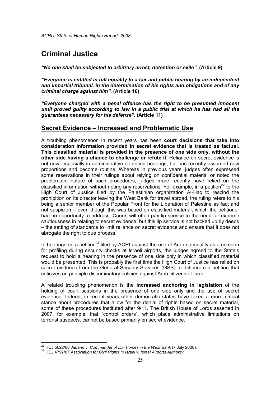# Criminal Justice

"No one shall be subjected to arbitrary arrest, detention or exile". (Article 9)

"Everyone is entitled in full equality to a fair and public hearing by an independent and impartial tribunal, in the determination of his rights and obligations and of any criminal charge against him". (Article 10)

"Everyone charged with a penal offence has the right to be presumed innocent until proved guilty according to law in a public trial at which he has had all the guarantees necessary for his defense". (Article 11)

#### Secret Evidence – Increased and Problematic Use

A troubling phenomenon in recent years has been court decisions that take into consideration information provided in secret evidence that is treated as factual. This classified material is provided in the presence of one side only, without the other side having a chance to challenge or refute it. Reliance on secret evidence is not new, especially in administrative detention hearings, but has recently assumed new proportions and become routine. Whereas in previous years, judges often expressed some reservations in their rulings about relying on confidential material or noted the problematic nature of such procedures, judges more recently have relied on the classified information without noting any reservations. For example, in a petition<sup>22</sup> to the High Court of Justice filed by the Palestinian organization Al-Haq to rescind the prohibition on its director leaving the West Bank for travel abroad, the ruling refers to his being a senior member of the Popular Front for the Liberation of Palestine as fact and not suspicion – even though this was based on classified material, which the petitioner had no opportunity to address. Courts will often pay lip service to the need for extreme cautiousness in relating to secret evidence, but this lip service is not backed up by deeds – the setting of standards to limit reliance on secret evidence and ensure that it does not abrogate the right to due process.

In hearings on a petition<sup>23</sup> filed by ACRI against the use of Arab nationality as a criterion for profiling during security checks at Israeli airports, the judges agreed to the State's request to hold a hearing in the presence of one side only in which classified material would be presented. This is probably the first time the High Court of Justice has relied on secret evidence from the General Security Services (GSS) to deliberate a petition that criticizes on principle discriminatory policies against Arab citizens of Israel.

A related troubling phenomenon is the increased anchoring in legislation of the holding of court sessions in the presence of one side only and the use of secret evidence. Indeed, in recent years other democratic states have taken a more critical stance about procedures that allow for the denial of rights based on secret material, some of these procedures instituted after 9/11. The British House of Lords asserted in 2007, for example, that "control orders", which place administrative limitations on terrorist suspects, cannot be based primarily on secret evidence.

 $\overline{a}$ 

 $\frac{22}{1}$  HCJ 5022/08 Jabarin v. Commander of IDF Forces in the West Bank (7 July 2008).

<sup>&</sup>lt;sup>23</sup> HCJ 4797/07 Association for Civil Rights in Israel v. Israel Airports Authority.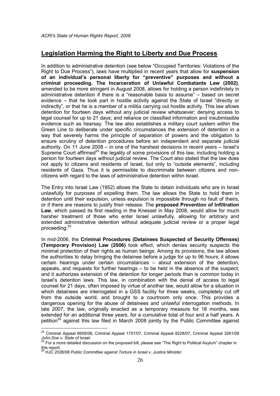#### Legislation Harming the Right to Liberty and Due Process

In addition to administrative detention (see below "Occupied Territories: Violations of the Right to Due Process"), laws have multiplied in recent years that allow for suspension of an individual's personal liberty for "preventive" purposes and without a criminal proceeding. The Incarceration of Unlawful Combatants Law (2002), amended to be more stringent in August 2008, allows for holding a person indefinitely in administrative detention if there is a "reasonable basis to assume" – based on secret evidence – that he took part in hostile activity against the State of Israel "directly or indirectly", or that he is a member of a militia carrying out hostile activity. This law allows detention for fourteen days without any judicial review whatsoever; denying access to legal counsel for up to 21 days; and reliance on classified information and insubmissible evidence such as hearsay. The law also establishes a military court system within the Green Line to deliberate under specific circumstances the extension of detention in a way that severely harms the principle of separation of powers and the obligation to ensure scrutiny of detention procedures before an independent and separate judicial authority. On 11 June 2008 – in one of the harshest decisions in recent years – Israel's Supreme Court affirmed<sup>24</sup> the legality of some provisions of this law, including holding a person for fourteen days without judicial review. The Court also stated that the law does not apply to citizens and residents of Israel, but only to "outside elements", including residents of Gaza. Thus it is permissible to discriminate between citizens and noncitizens with regard to the laws of administrative detention within Israel.

The Entry into Israel Law (1952) allows the State to detain individuals who are in Israel unlawfully for purposes of expelling them. The law allows the State to hold them in detention until their expulsion, unless expulsion is impossible through no fault of theirs, or if there are reasons to justify their release. The proposed Prevention of Infiltration Law, which passed its first reading in the Knesset in May 2008, would allow for much harsher treatment of those who enter Israel unlawfully, allowing for arbitrary and extended administrative detention without adequate judicial review or a proper legal proceeding.<sup>25</sup>

In mid-2006, the Criminal Procedures (Detainees Suspected of Security Offenses) (Temporary Provision) Law (2006) took effect, which denies security suspects the minimal protection of their rights as human beings: Among its provisions, the law allows the authorities to delay bringing the detainee before a judge for up to 96 hours; it allows certain hearings under certain circumstances – about extension of the detention, appeals, and requests for further hearings – to be held in the absence of the suspect; and it authorizes extension of the detention for longer periods than is common today in Israel's detention laws. This law, in combination with the denial of access to legal counsel for 21 days, often imposed by virtue of another law, would allow for a situation in which detainees are interrogated in a GSS facility for three weeks, completely cut off from the outside world, and brought to a courtroom only once. This provides a dangerous opening for the abuse of detainees and unlawful interrogation methods. In late 2007, the law, originally enacted as a temporary measure for 18 months, was extended for an additional three years, for a cumulative total of four and a half years. A petition<sup>26</sup> against this law filed in March 2008 jointly by the Public Committee against

 $\overline{\phantom{a}}$  $^{24}$  Criminal Appeal 6659/06, Criminal Appeal 1757/07, Criminal Appeal 8228/07, Criminal Appeal 3261/08 John Doe v. State of Israel.

 $^{25}$  For a more detailed discussion on the proposed bill, please see "The Right to Political Asylum" chapter in this report.

 $^{\circ}$  HJC 2028/08 Public Committee against Torture in Israel v. Justice Minister.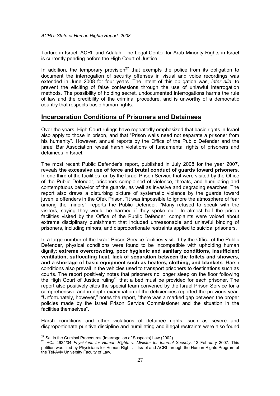Torture in Israel, ACRI, and Adalah: The Legal Center for Arab Minority Rights in Israel is currently pending before the High Court of Justice.

In addition, the temporary provision<sup>27</sup> that exempts the police from its obligation to document the interrogation of security offenses in visual and voice recordings was extended in June 2008 for four years. The intent of this obligation was, *inter alia*, to prevent the eliciting of false confessions through the use of unlawful interrogation methods. The possibility of holding secret, undocumented interrogations harms the rule of law and the credibility of the criminal procedure, and is unworthy of a democratic country that respects basic human rights.

#### Incarceration Conditions of Prisoners and Detainees

Over the years, High Court rulings have repeatedly emphasized that basic rights in Israel also apply to those in prison, and that "Prison walls need not separate a prisoner from his humanity". However, annual reports by the Office of the Public Defender and the Israel Bar Association reveal harsh violations of fundamental rights of prisoners and detainees in Israel.

The most recent Public Defender's report, published in July 2008 for the year 2007, reveals the excessive use of force and brutal conduct of guards toward prisoners. In one third of the facilities run by the Israel Prison Service that were visited by the Office of the Public Defender, prisoners complained of violence, threats, and humiliating and contemptuous behavior of the guards, as well as invasive and degrading searches. The report also draws a disturbing picture of systematic violence by the guards toward juvenile offenders in the Ofek Prison. "It was impossible to ignore the atmosphere of fear among the minors", reports the Public Defender. "Many refused to speak with the visitors, saying they would be harmed if they spoke out". In almost half the prison facilities visited by the Office of the Public Defender, complaints were voiced about extreme disciplinary punishment that included unreasonable and unlawful binding of prisoners, including minors, and disproportionate restraints applied to suicidal prisoners.

In a large number of the Israel Prison Service facilities visited by the Office of the Public Defender, physical conditions were found to be incompatible with upholding human dignity: extreme overcrowding, poor hygienic and sanitary conditions, insufficient ventilation, suffocating heat, lack of separation between the toilets and showers, and a shortage of basic equipment such as heaters, clothing, and blankets. Harsh conditions also prevail in the vehicles used to transport prisoners to destinations such as courts. The report positively notes that prisoners no longer sleep on the floor following the High Court of Justice ruling<sup>28</sup> that a bed must be provided for each prisoner. The report also positively cites the special team convened by the Israel Prison Service for a comprehensive and in-depth examination of the deficiencies reported the previous year. "Unfortunately, however," notes the report, "there was a marked gap between the proper policies made by the Israel Prison Service Commissioner and the situation in the facilities themselves".

Harsh conditions and other violations of detainee rights, such as severe and disproportionate punitive discipline and humiliating and illegal restraints were also found

 $\overline{\phantom{a}}$ 

 $27$  Set in the Criminal Procedures (Interrogation of Suspects) Law (2002).

<sup>&</sup>lt;sup>28</sup> HCJ 4634/04 *Physicians for Human Rights v. Minister for Internal Security*, 12 February 2007. This petition was filed by Physicians for Human Rights – Israel and ACRI through the Human Rights Program of the Tel-Aviv University Faculty of Law.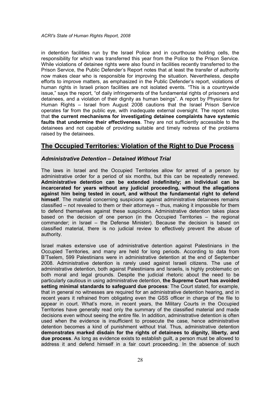in detention facilities run by the Israel Police and in courthouse holding cells, the responsibility for which was transferred this year from the Police to the Prison Service. While violations of detainee rights were also found in facilities recently transferred to the Prison Service, the Public Defender's Report notes that at least the transfer of authority now makes clear who is responsible for improving the situation. Nevertheless, despite efforts to improve matters, as emphasized in the Public Defender's report, violations of human rights in Israeli prison facilities are not isolated events. "This is a countrywide issue," says the report, "of daily infringements of the fundamental rights of prisoners and detainees, and a violation of their dignity as human beings". A report by Physicians for Human Rights – Israel from August 2008 cautions that the Israel Prison Service operates far from the public eye, with inadequate external oversight. The report notes that the current mechanisms for investigating detainee complaints have systemic faults that undermine their effectiveness. They are not sufficiently accessible to the detainees and not capable of providing suitable and timely redress of the problems raised by the detainees.

#### The Occupied Territories: Violation of the Right to Due Process

#### Administrative Detention – Detained Without Trial

The laws in Israel and the Occupied Territories allow for arrest of a person by administrative order for a period of six months, but this can be repeatedly renewed. Administrative detention can be extended indefinitely; an individual can be incarcerated for years without any judicial proceeding, without the allegations against him being tested in court, and without the fundamental right to defend himself. The material concerning suspicions against administrative detainees remains classified – not revealed to them or their attorneys – thus, making it impossible for them to defend themselves against these suspicions. Administrative detention takes place based on the decision of one person (in the Occupied Territories – the regional commander; in Israel – the Defense Minister). Because the decision is based on classified material, there is no judicial review to effectively prevent the abuse of authority.

Israel makes extensive use of administrative detention against Palestinians in the Occupied Territories, and many are held for long periods. According to data from B'Tselem, 599 Palestinians were in administrative detention at the end of September 2008. Administrative detention is rarely used against Israeli citizens. The use of administrative detention, both against Palestinians and Israelis, is highly problematic on both moral and legal grounds. Despite the judicial rhetoric about the need to be particularly cautious in using administrative detention, the Supreme Court has avoided setting minimal standards to safeguard due process: The Court stated, for example, that in general no witnesses are required for an administrative detention hearing, and in recent years it refrained from obligating even the GSS officer in charge of the file to appear in court. What's more, in recent years, the Military Courts in the Occupied Territories have generally read only the summary of the classified material and made decisions even without seeing the entire file. In addition, administrative detention is often used when the evidence is insufficient to prosecute the case, hence administrative detention becomes a kind of punishment without trial. Thus, administrative detention demonstrates marked disdain for the rights of detainees to dignity, liberty, and due process. As long as evidence exists to establish guilt, a person must be allowed to address it and defend himself in a fair court proceeding. In the absence of such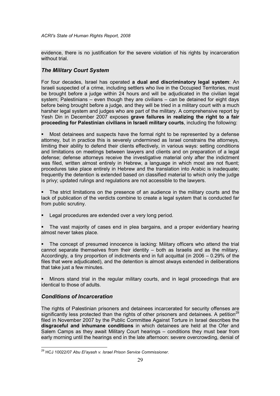evidence, there is no justification for the severe violation of his rights by incarceration without trial.

#### The Military Court System

For four decades, Israel has operated a dual and discriminatory legal system: An Israeli suspected of a crime, including settlers who live in the Occupied Territories, must be brought before a judge within 24 hours and will be adjudicated in the civilian legal system; Palestinians – even though they are civilians – can be detained for eight days before being brought before a judge, and they will be tried in a military court with a much harsher legal system and judges who are part of the military. A comprehensive report by Yesh Din in December 2007 exposes grave failures in realizing the right to a fair proceeding for Palestinian civilians in Israeli military courts, including the following:

 Most detainees and suspects have the formal right to be represented by a defense attorney, but in practice this is severely undermined as Israel constrains the attorneys, limiting their ability to defend their clients effectively, in various ways: setting conditions and limitations on meetings between lawyers and clients and on preparation of a legal defense; defense attorneys receive the investigative material only after the indictment was filed, written almost entirely in Hebrew, a language in which most are not fluent; procedures take place entirely in Hebrew and the translation into Arabic is inadequate; frequently the detention is extended based on classified material to which only the judge is privy; updated rulings and regulations are not accessible to the lawyers.

 The strict limitations on the presence of an audience in the military courts and the lack of publication of the verdicts combine to create a legal system that is conducted far from public scrutiny.

Legal procedures are extended over a very long period.

 The vast majority of cases end in plea bargains, and a proper evidentiary hearing almost never takes place.

 The concept of presumed innocence is lacking: Military officers who attend the trial cannot separate themselves from their identity – both as Israelis and as the military. Accordingly, a tiny proportion of indictments end in full acquittal (in 2006 – 0.29% of the files that were adjudicated), and the detention is almost always extended in deliberations that take just a few minutes.

 Minors stand trial in the regular military courts, and in legal proceedings that are identical to those of adults.

#### Conditions of Incarceration

The rights of Palestinian prisoners and detainees incarcerated for security offenses are significantly less protected than the rights of other prisoners and detainees. A petition<sup>29</sup> filed in November 2007 by the Public Committee Against Torture in Israel describes the disgraceful and inhumane conditions in which detainees are held at the Ofer and Salem Camps as they await Military Court hearings – conditions they must bear from early morning until the hearings end in the late afternoon: severe overcrowding, denial of

 $\frac{1}{2}$ <sup>29</sup> HCJ 10022/07 Abu El'ayash v. Israel Prison Service Commissioner.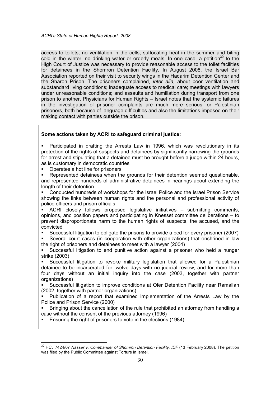access to toilets, no ventilation in the cells, suffocating heat in the summer and biting cold in the winter, no drinking water or orderly meals. In one case, a petition<sup>30</sup> to the High Court of Justice was necessary to provide reasonable access to the toilet facilities for detainees in the Shomron Detention Facility. In August 2008, the Israel Bar Association reported on their visit to security wings in the Hadarim Detention Center and the Sharon Prison. The prisoners complained, inter alia, about poor ventilation and substandard living conditions; inadequate access to medical care; meetings with lawyers under unreasonable conditions; and assaults and humiliation during transport from one prison to another. Physicians for Human Rights – Israel notes that the systemic failures in the investigation of prisoner complaints are much more serious for Palestinian prisoners, both because of language difficulties and also the limitations imposed on their making contact with parties outside the prison.

#### Some actions taken by ACRI to safeguard criminal justice:

 Participated in drafting the Arrests Law in 1996, which was revolutionary in its protection of the rights of suspects and detainees by significantly narrowing the grounds for arrest and stipulating that a detainee must be brought before a judge within 24 hours, as is customary in democratic countries

Operates a hot line for prisoners

 $\overline{a}$ 

 Represented detainees when the grounds for their detention seemed questionable, and represented hundreds of administrative detainees in hearings about extending the length of their detention

 Conducted hundreds of workshops for the Israel Police and the Israel Prison Service showing the links between human rights and the personal and professional activity of police officers and prison officials

 ACRI closely follows proposed legislative initiatives – submitting comments, opinions, and position papers and participating in Knesset committee deliberations – to prevent disproportionate harm to the human rights of suspects, the accused, and the convicted

Successful litigation to obligate the prisons to provide a bed for every prisoner (2007)

 Several court cases (in cooperation with other organizations) that enshrined in law the right of prisoners and detainees to meet with a lawyer (2004)

 Successful litigation to end punitive action against a prisoner who held a hunger strike (2003)

 Successful litigation to revoke military legislation that allowed for a Palestinian detainee to be incarcerated for twelve days with no judicial review, and for more than four days without an initial inquiry into the case (2003, together with partner organizations)

 Successful litigation to improve conditions at Ofer Detention Facility near Ramallah (2002, together with partner organizations)

 Publication of a report that examined implementation of the Arrests Law by the Police and Prison Service (2000)

**Bringing about the cancellation of the rule that prohibited an attorney from handling a** case without the consent of the previous attorney (1996)

**Ensuring the right of prisoners to vote in the elections (1984)** 

<sup>&</sup>lt;sup>30</sup> HCJ 7424/07 Nasser v. Commander of Shomron Detention Facility, IDF (13 February 2008). The petition was filed by the Public Committee against Torture in Israel.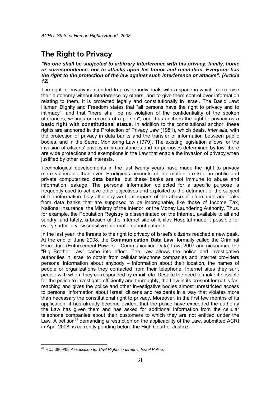# **The Right to Privacy**

#### "No one shall be subjected to arbitrary interference with his privacy, family, home or correspondence, nor to attacks upon his honor and reputation. Everyone has the right to the protection of the law against such interference or attacks". (Article 12)

The right to privacy is intended to provide individuals with a space in which to exercise their autonomy without interference by others, and to give them control over information relating to them. It is protected legally and constitutionally in Israel. The Basic Law: Human Dignity and Freedom states that "all persons have the right to privacy and to intimacy", and that "there shall be no violation of the confidentiality of the spoken utterances, writings or records of a person", and thus anchors the right to privacy as a basic right with constitutional status. In addition to the constitutional anchor, these rights are anchored in the Protection of Privacy Law (1981), which deals, *inter alia*, with the protection of privacy in data banks and the transfer of information between public bodies, and in the Secret Monitoring Law (1979). The existing legislation allows for the invasion of citizens' privacy in circumstances and for purposes determined by law; there are wide protections and exemptions in the Law that enable the invasion of privacy when justified by other social interests.

Technological developments in the last twenty years have made the right to privacy more vulnerable than ever. Prodigious amounts of information are kept in public and private computerized data banks, but these banks are not immune to abuse and information leakage. The personal information collected for a specific purpose is frequently used to achieve other objectives and exploited to the detriment of the subject of the information. Day after day we hear reports of the abuse of information and leaks from data banks that are supposed to be impregnable, like those of Income Tax, National Insurance, the Ministry of the Interior, or the Money Laundering Authority. Thus, for example, the Population Registry is disseminated on the Internet, available to all and sundry; and lately, a breach of the Internet site of Ichilov Hospital made it possible for every surfer to view sensitive information about patients.

In the last year, the threats to the right to privacy of Israel's citizens reached a new peak. At the end of June 2008, the Communication Data Law, formally called the Criminal Procedure (Enforcement Powers – Communication Data) Law, 2007 and nicknamed the "Big Brother Law" came into effect. The Law allows the police and investigative authorities in Israel to obtain from cellular telephone companies and Internet providers personal information about anybody – information about their location, the names of people or organizations they contacted from their telephone, Internet sites they surf, people with whom they corresponded by email, etc. Despite the need to make it possible for the police to investigate efficiently and thoroughly, the Law in its present format is farreaching and gives the police and other investigative bodies almost unrestricted access to personal information about Israeli citizens and residents in a way that violates more than necessary the constitutional right to privacy. Moreover, in the first few months of its application, it has already become evident that the police have exceeded the authority the Law has given them and has asked for additional information from the cellular telephone companies about their customers to which they are not entitled under the Law. A petition<sup>31</sup> demanding a restriction on the applicability of the Law, submitted ACRI in April 2008, is currently pending before the High Court of Justice.

 $\overline{\phantom{a}}$  $31$  HCJ 3809/08 Association for Civil Rights in Israel v. Israel Police.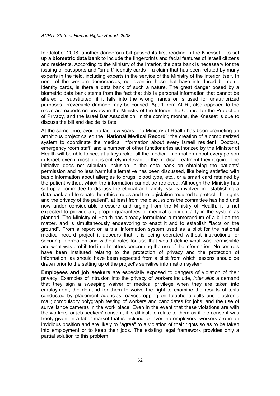In October 2008, another dangerous bill passed its first reading in the Knesset – to set up a biometric data bank to include the fingerprints and facial features of Israeli citizens and residents. According to the Ministry of the Interior, the data bank is necessary for the issuing of passports and "smart" identity cards – a claim that has been refuted by many experts in the field, including experts in the service of the Ministry of the Interior itself. In none of the western democracies, not even in those that have introduced biometric identity cards, is there a data bank of such a nature. The great danger posed by a biometric data bank stems from the fact that this is personal information that cannot be altered or substituted; if it falls into the wrong hands or is used for unauthorized purposes, irreversible damage may be caused. Apart from ACRI, also opposed to the move are experts on privacy in the Ministry of the Interior, the Council for the Protection of Privacy, and the Israel Bar Association. In the coming months, the Knesset is due to discuss the bill and decide its fate.

At the same time, over the last few years, the Ministry of Health has been promoting an ambitious project called the "National Medical Record": the creation of a computerized system to coordinate the medical information about every Israeli resident. Doctors, emergency room staff, and a number of other functionaries authorized by the Minister of Health will be able to see, at a keystroke, all the medical information about every person in Israel, even if most of it is entirely irrelevant to the medical treatment they require. The initiative does not stipulate inclusion in the data bank on obtaining the patients' permission and no less harmful alternative has been discussed, like being satisfied with basic information about allergies to drugs, blood type, etc., or a smart card retained by the patient without which the information cannot be retrieved. Although the Ministry has set up a committee to discuss the ethical and family issues involved in establishing a data bank and to create the ethical rules and the legislation required to protect "the rights and the privacy of the patient", at least from the discussions the committee has held until now under considerable pressure and urging from the Ministry of Health, it is not expected to provide any proper guarantees of medical confidentiality in the system as planned. The Ministry of Health has already formulated a memorandum of a bill on the matter, and is simultaneously endeavoring to enact it and to establish "facts on the ground". From a report on a trial information system used as a pilot for the national medical record project it appears that it is being operated without instructions for securing information and without rules for use that would define what was permissible and what was prohibited in all matters concerning the use of the information. No controls have been instituted relating to the protection of privacy and the protection of information, as should have been expected from a pilot from which lessons should be drawn prior to the setting up of the project's sensitive information system.

Employees and job seekers are especially exposed to dangers of violation of their privacy. Examples of intrusion into the privacy of workers include, inter alia: a demand that they sign a sweeping waiver of medical privilege when they are taken into employment; the demand for them to waive the right to examine the results of tests conducted by placement agencies; eavesdropping on telephone calls and electronic mail; compulsory polygraph testing of workers and candidates for jobs; and the use of surveillance cameras in the work place. Even in the event that these violations are with the workers' or job seekers' consent, it is difficult to relate to them as if the consent was freely given: in a labor market that is inclined to favor the employers, workers are in an invidious position and are likely to "agree" to a violation of their rights so as to be taken into employment or to keep their jobs. The existing legal framework provides only a partial solution to this problem.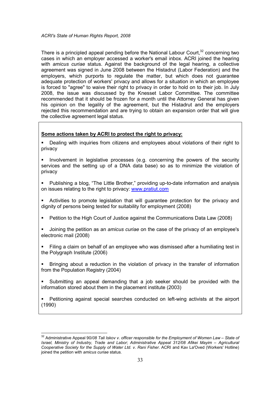There is a principled appeal pending before the National Labour Court, $32$  concerning two cases in which an employer accessed a worker's email inbox. ACRI joined the hearing with amicus curiae status. Against the background of the legal hearing, a collective agreement was signed in June 2008 between the Histadrut (Labor Federation) and the employers, which purports to regulate the matter, but which does not guarantee adequate protection of workers' privacy and allows for a situation in which an employee is forced to "agree" to waive their right to privacy in order to hold on to their job. In July 2008, the issue was discussed by the Knesset Labor Committee. The committee recommended that it should be frozen for a month until the Attorney General has given his opinion on the legality of the agreement, but the Histadrut and the employers rejected this recommendation and are trying to obtain an expansion order that will give the collective agreement legal status.

#### Some actions taken by ACRI to protect the right to privacy:

- Dealing with inquiries from citizens and employees about violations of their right to privacy
- Involvement in legislative processes (e.g. concerning the powers of the security services and the setting up of a DNA data base) so as to minimize the violation of privacy
- Publishing a blog, "The Little Brother," providing up-to-date information and analysis on issues relating to the right to privacy: www.pratiut.com
- Activities to promote legislation that will guarantee protection for the privacy and dignity of persons being tested for suitability for employment (2008)
- Petition to the High Court of Justice against the Communications Data Law (2008)
- Joining the petition as an amicus curiae on the case of the privacy of an employee's electronic mail (2008)
- Filing a claim on behalf of an employee who was dismissed after a humiliating test in the Polygraph Institute (2006)
- Bringing about a reduction in the violation of privacy in the transfer of information from the Population Registry (2004)
- Submitting an appeal demanding that a job seeker should be provided with the information stored about them in the placement institute (2003)

 Petitioning against special searches conducted on left-wing activists at the airport (1990)

 $\overline{a}$ 

 $32$  Administrative Appeal 90/08 Tali Iskov v. officer responsible for the Employment of Women Law – State of Israel, Ministry of Industry, Trade and Labor; Administrative Appeal 312/08 Afikei Mayim – Agricultural Cooperative Society for the Supply of Water Ltd. v. Rani Fisher. ACRI and Kav La'Oved (Workers' Hotline) joined the petition with amicus curiae status.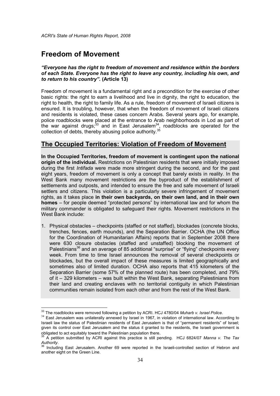# Freedom of Movement

 $\overline{a}$ 

"Everyone has the right to freedom of movement and residence within the borders of each State. Everyone has the right to leave any country, including his own, and to return to his country". (Article 13)

Freedom of movement is a fundamental right and a precondition for the exercise of other basic rights: the right to earn a livelihood and live in dignity, the right to education, the right to health, the right to family life. As a rule, freedom of movement of Israeli citizens is ensured. It is troubling, however, that when the freedom of movement of Israeli citizens and residents is violated, these cases concern Arabs. Several years ago, for example, police roadblocks were placed at the entrance to Arab neighborhoods in Lod as part of the war against drugs;<sup>33</sup> and in East Jerusalem<sup>34</sup>, roadblocks are operated for the collection of debts, thereby abusing police authority.<sup>35</sup>

#### The Occupied Territories: Violation of Freedom of Movement

In the Occupied Territories, freedom of movement is contingent upon the national origin of the individual. Restrictions on Palestinian residents that were initially imposed during the first *Intifada* were made more stringent during the second, and for the past eight years, freedom of movement is only a concept that barely exists in reality. In the West Bank many movement restrictions are the byproduct of the establishment of settlements and outposts, and intended to ensure the free and safe movement of Israeli settlers and citizens. This violation is a particularly severe infringement of movement rights, as it takes place in their own backyards, on their own land, and in their own homes – for people deemed "protected persons" by international law and for whom the military commander is obligated to safeguard their rights. Movement restrictions in the West Bank include:

1. Physical obstacles – checkpoints (staffed or not staffed), blockades (concrete blocks, trenches, fences, earth mounds), and the Separation Barrier. OCHA (the UN Office for the Coordination of Humanitarian Affairs) reports that in September 2008 there were 630 closure obstacles (staffed and unstaffed) blocking the movement of Palestinians<sup>36</sup> and an average of 85 additional "surprise" or "flying" checkpoints every week. From time to time Israel announces the removal of several checkpoints or blockades, but the overall impact of these measures is limited geographically and sometimes also of limited duration. OCHA also reports that 415 kilometers of the Separation Barrier (some 57% of the planned route) has been completed, and 79% of it – 329 kilometers – was built within the West Bank, separating Palestinians from their land and creating enclaves with no territorial contiguity in which Palestinian communities remain isolated from each other and from the rest of the West Bank.

 $^{33}$  The roadblocks were removed following a petition by ACRI. HCJ 4780/04 Muharb v. Israel Police.

<sup>&</sup>lt;sup>34</sup> East Jerusalem was unilaterally annexed by Israel in 1967, in violation of international law. According to Israeli law the status of Palestinian residents of East Jerusalem is that of "permanent residents" of Israel; given its control over East Jerusalem and the status it granted to the residents, the Israeli government is obligated to act equitably toward the Palestinian population there.

 $\overline{3}$  A petition submitted by ACRI against this practice is still pending. HCJ 6824/07 Manna v. The Tax Authority.

 $36$  Including East Jerusalem. Another 69 were reported in the Israeli-controlled section of Hebron and another eight on the Green Line.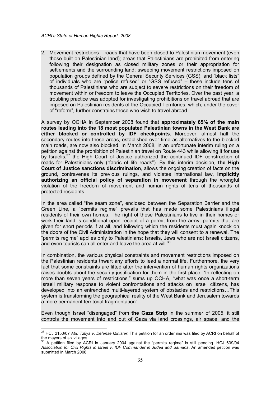2. Movement restrictions – roads that have been closed to Palestinian movement (even those built on Palestinian land); areas that Palestinians are prohibited from entering following their designation as closed military zones or their appropriation for settlements and the surrounding land; sweeping movement restrictions imposed on population groups defined by the General Security Services (GSS); and "black lists" of individuals who are "police refused" or "GSS refused" – these include tens of thousands of Palestinians who are subject to severe restrictions on their freedom of movement within or freedom to leave the Occupied Territories. Over the past year, a troubling practice was adopted for investigating prohibitions on travel abroad that are imposed on Palestinian residents of the Occupied Territories, which, under the cover of "reform", further constrains those who wish to travel abroad.

A survey by OCHA in September 2008 found that approximately 65% of the main routes leading into the 18 most populated Palestinian towns in the West Bank are either blocked or controlled by IDF checkpoints. Moreover, almost half the secondary routes into these areas, established over time as alternatives to the blocked main roads, are now also blocked. In March 2008, in an unfortunate interim ruling on a petition against the prohibition of Palestinian travel on Route 443 while allowing it for use by Israelis,<sup>37</sup> the High Court of Justice authorized the continued IDF construction of roads for Palestinians only ("fabric of life roads"). By this interim decision, the High Court of Justice sanctions discrimination, allows the ongoing creation of facts on the ground, contravenes its previous rulings, and violates international law, implicitly authorizing an official policy of separation in movement through the wrongful violation of the freedom of movement and human rights of tens of thousands of protected residents.

In the area called "the seam zone", enclosed between the Separation Barrier and the Green Line, a "permits regime" prevails that has made some Palestinians illegal residents of their own homes. The right of these Palestinians to live in their homes or work their land is conditional upon receipt of a permit from the army, permits that are given for short periods if at all, and following which the residents must again knock on the doors of the Civil Administration in the hope that they will consent to a renewal. The "permits regime" applies only to Palestinians; Israelis, Jews who are not Israeli citizens, and even tourists can all enter and leave the area at will.<sup>38</sup>

In combination, the various physical constraints and movement restrictions imposed on the Palestinian residents thwart any efforts to lead a normal life. Furthermore, the very fact that some constraints are lifted after the intervention of human rights organizations raises doubts about the security justification for them in the first place. "In reflecting on more than seven years of restrictions," sums up OCHA, "what was once a short-term Israeli military response to violent confrontations and attacks on Israeli citizens, has developed into an entrenched multi-layered system of obstacles and restrictions…This system is transforming the geographical reality of the West Bank and Jerusalem towards a more permanent territorial fragmentation".

Even though Israel "disengaged" from the Gaza Strip in the summer of 2005, it still controls the movement into and out of Gaza via land crossings, air space, and the

 $\overline{\phantom{a}}$ 

 $37$  HCJ 2150/07 Abu Tzfiya v. Defense Minister. This petition for an order nisi was filed by ACRI on behalf of the mayors of six villages.

<sup>38</sup> A petition filed by ACRI in January 2004 against the "permits regime" is still pending. HCJ 639/04 Association for Civil Rights in Israel v. IDF Commander in Judea and Samaria. An amended petition was submitted in March 2006.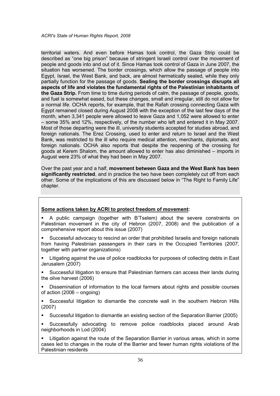territorial waters. And even before Hamas took control, the Gaza Strip could be described as "one big prison" because of stringent Israeli control over the movement of people and goods into and out of it. Since Hamas took control of Gaza in June 2007, the situation has worsened. The border crossings, which allow the passage of people into Egypt, Israel, the West Bank, and back, are almost hermetically sealed, while they only partially function for the passage of goods. Sealing the border crossings disrupts all aspects of life and violates the fundamental rights of the Palestinian inhabitants of the Gaza Strip. From time to time during periods of calm, the passage of people, goods, and fuel is somewhat eased, but these changes, small and irregular, still do not allow for a normal life. OCHA reports, for example, that the Rafah crossing connecting Gaza with Egypt remained closed during August 2008 with the exception of the last few days of the month, when 3,341 people were allowed to leave Gaza and 1,052 were allowed to enter – some 35% and 12%, respectively, of the number who left and entered it in May 2007. Most of those departing were the ill, university students accepted for studies abroad, and foreign nationals. The Erez Crossing, used to enter and return to Israel and the West Bank, was restricted to the ill who require medical attention, merchants, diplomats, and foreign nationals. OCHA also reports that despite the reopening of the crossing for goods at Kerem Shalom, the amount allowed to enter has also diminished – imports in August were 23% of what they had been in May 2007.

Over the past year and a half, movement between Gaza and the West Bank has been significantly restricted, and in practice the two have been completely cut off from each other. Some of the implications of this are discussed below in "The Right to Family Life" chapter.

#### Some actions taken by ACRI to protect freedom of movement:

- A public campaign (together with B'Tselem) about the severe constraints on Palestinian movement in the city of Hebron (2007, 2008) and the publication of a comprehensive report about this issue (2007)
- Successful advocacy to rescind an order that prohibited Israelis and foreign nationals from having Palestinian passengers in their cars in the Occupied Territories (2007, together with partner organizations)
- Litigating against the use of police roadblocks for purposes of collecting debts in East Jerusalem (2007)
- Successful litigation to ensure that Palestinian farmers can access their lands during the olive harvest (2006)
- Dissemination of information to the local farmers about rights and possible courses of action (2006 – ongoing)
- Successful litigation to dismantle the concrete wall in the southern Hebron Hills (2007)
- Successful litigation to dismantle an existing section of the Separation Barrier (2005)
- Successfully advocating to remove police roadblocks placed around Arab neighborhoods in Lod (2004)

 Litigation against the route of the Separation Barrier in various areas, which in some cases led to changes in the route of the Barrier and fewer human rights violations of the Palestinian residents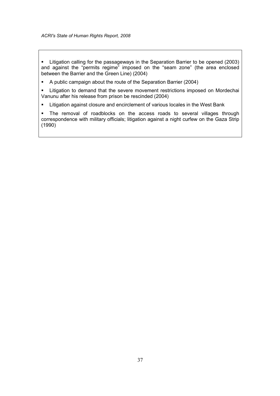Litigation calling for the passageways in the Separation Barrier to be opened (2003) and against the "permits regime" imposed on the "seam zone" (the area enclosed between the Barrier and the Green Line) (2004)

A public campaign about the route of the Separation Barrier (2004)

**EXECT** Litigation to demand that the severe movement restrictions imposed on Mordechai Vanunu after his release from prison be rescinded (2004)

**EXECT** Litigation against closure and encirclement of various locales in the West Bank

 The removal of roadblocks on the access roads to several villages through correspondence with military officials; litigation against a night curfew on the Gaza Strip (1990)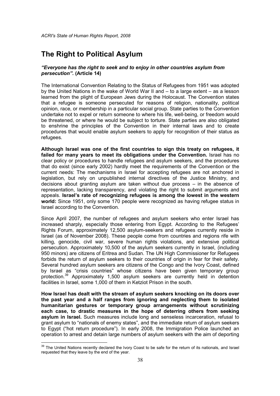# The Right to Political Asylum

#### "Everyone has the right to seek and to enjoy in other countries asylum from persecution". (Article 14)

The International Convention Relating to the Status of Refugees from 1951 was adopted by the United Nations in the wake of World War II and – to a large extent – as a lesson learned from the plight of European Jews during the Holocaust. The Convention states that a refugee is someone persecuted for reasons of religion, nationality, political opinion, race, or membership in a particular social group. State parties to the Convention undertake not to expel or return someone to where his life, well-being, or freedom would be threatened, or where he would be subject to torture. State parties are also obligated to enshrine the principles of the Convention in their internal laws and to create procedures that would enable asylum seekers to apply for recognition of their status as refugees.

Although Israel was one of the first countries to sign this treaty on refugees, it failed for many years to meet its obligations under the Convention. Israel has no clear policy or procedures to handle refugees and asylum seekers, and the procedures that do exist (since early 2002) hardly meet the requirements of the Convention or the current needs: The mechanisms in Israel for accepting refugees are not anchored in legislation, but rely on unpublished internal directives of the Justice Ministry, and decisions about granting asylum are taken without due process – in the absence of representation, lacking transparency, and violating the right to submit arguments and appeals. Israel's rate of recognizing refugees is among the lowest in the western world: Since 1951, only some 170 people were recognized as having refugee status in Israel according to the Convention.

Since April 2007, the number of refugees and asylum seekers who enter Israel has increased sharply, especially those entering from Egypt. According to the Refugees' Rights Forum, approximately 12,500 asylum-seekers and refugees currently reside in Israel (as of November 2008). These people come from countries and regions rife with killing, genocide, civil war, severe human rights violations, and extensive political persecution. Approximately 10,500 of the asylum seekers currently in Israel, (including 950 minors) are citizens of Eritrea and Sudan. The UN High Commissioner for Refugees forbids the return of asylum seekers to their countries of origin in fear for their safety. Several hundred asylum seekers are citizens of the Congo and the Ivory Coast, defined by Israel as "crisis countries" whose citizens have been given temporary group protection.<sup>39</sup> Approximately 1,500 asylum seekers are currently held in detention facilities in Israel, some 1,000 of them in Ketziot Prison in the south.

How Israel has dealt with the stream of asylum seekers knocking on its doors over the past year and a half ranges from ignoring and neglecting them to isolated humanitarian gestures or temporary group arrangements without scrutinizing each case, to drastic measures in the hope of deterring others from seeking asylum in Israel. Such measures include long and senseless incarceration, refusal to grant asylum to "nationals of enemy states", and the immediate return of asylum seekers to Egypt ("hot return procedure"). In early 2008, the Immigration Police launched an operation to arrest and detain large numbers of asylum seekers with the aim of deporting

 $\overline{\phantom{a}}$ 

<sup>&</sup>lt;sup>39</sup> The United Nations recently declared the Ivory Coast to be safe for the return of its nationals, and Israel requested that they leave by the end of the year.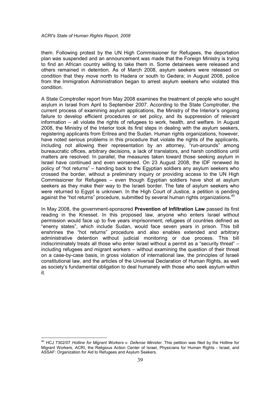them. Following protest by the UN High Commissioner for Refugees, the deportation plan was suspended and an announcement was made that the Foreign Ministry is trying to find an African country willing to take them in. Some detainees were released and others remained in detention. As of March 2008, asylum seekers were released on condition that they move north to Hadera or south to Gedera; in August 2008, police from the Immigration Administration began to arrest asylum seekers who violated this condition.

A State Comptroller report from May 2008 examines the treatment of people who sought asylum in Israel from April to September 2007. According to the State Comptroller, the current process of examining asylum applications, the Ministry of the Interior's ongoing failure to develop efficient procedures or set policy, and its suppression of relevant information – all violate the rights of refugees to work, health, and welfare. In August 2008, the Ministry of the Interior took its first steps in dealing with the asylum seekers, registering applicants from Eritrea and the Sudan. Human rights organizations, however, have noted serious problems in this procedure that violate the rights of the applicants, including not allowing their representation by an attorney, "run-arounds" among bureaucratic offices, arbitrary decisions, a lack of translators, and harsh conditions until matters are resolved. In parallel, the measures taken toward those seeking asylum in Israel have continued and even worsened. On 23 August 2008, the IDF renewed its policy of "hot returns" – handing back to the Egyptian soldiers any asylum seekers who crossed the border, without a preliminary inquiry or providing access to the UN High Commissioner for Refugees – even though Egyptian soldiers have shot at asylum seekers as they make their way to the Israeli border. The fate of asylum seekers who were returned to Egypt is unknown. In the High Court of Justice, a petition is pending against the "hot returns" procedure, submitted by several human rights organizations.<sup>40</sup>

In May 2008, the government-sponsored Prevention of Infiltration Law passed its first reading in the Knesset. In this proposed law, anyone who enters Israel without permission would face up to five years imprisonment; refugees of countries defined as "enemy states", which include Sudan, would face seven years in prison. This bill enshrines the "hot returns" procedure and also enables extended and arbitrary administrative detention without judicial monitoring or due process. This bill indiscriminately treats all those who enter Israel without a permit as a "security threat" – including refugees and migrant workers – without examining the question of their threat on a case-by-case basis, in gross violation of international law, the principles of Israeli constitutional law, and the articles of the Universal Declaration of Human Rights, as well as society's fundamental obligation to deal humanely with those who seek asylum within it.

-

<sup>&</sup>lt;sup>40</sup> HCJ 7302/07 Hotline for Migrant Workers v. Defense Minister. This petition was filed by the Hotline for Migrant Workers, ACRI, the Religious Action Center of Israel, Physicians for Human Rights - Israel, and ASSAF: Organization for Aid to Refugees and Asylum Seekers.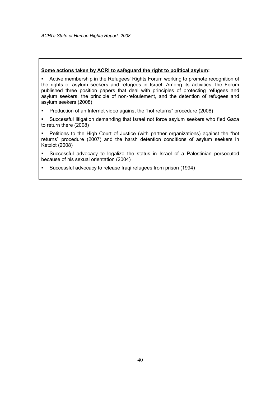#### Some actions taken by ACRI to safeguard the right to political asylum:

 Active membership in the Refugees' Rights Forum working to promote recognition of the rights of asylum seekers and refugees in Israel. Among its activities, the Forum published three position papers that deal with principles of protecting refugees and asylum seekers, the principle of non-refoulement, and the detention of refugees and asylum seekers (2008)

- **Production of an Internet video against the "hot returns" procedure (2008)**
- Successful litigation demanding that Israel not force asylum seekers who fled Gaza to return there (2008)

 Petitions to the High Court of Justice (with partner organizations) against the "hot returns" procedure (2007) and the harsh detention conditions of asylum seekers in Ketziot (2008)

- Successful advocacy to legalize the status in Israel of a Palestinian persecuted because of his sexual orientation (2004)
- Successful advocacy to release Iraqi refugees from prison (1994)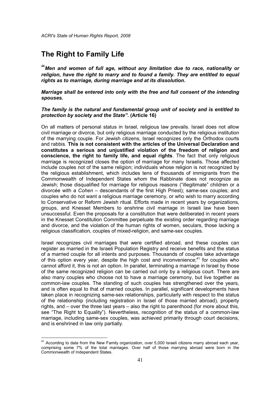# The Right to Family Life

-

"Men and women of full age, without any limitation due to race, nationality or religion, have the right to marry and to found a family. They are entitled to equal rights as to marriage, during marriage and at its dissolution.

#### Marriage shall be entered into only with the free and full consent of the intending spouses.

#### The family is the natural and fundamental group unit of society and is entitled to protection by society and the State". (Article 16)

On all matters of personal status in Israel, religious law prevails. Israel does not allow civil marriage or divorce, but only religious marriage conducted by the religious institution of the marrying couple. For Jewish citizens, Israel recognizes only the Orthodox courts and rabbis. This is not consistent with the articles of the Universal Declaration and constitutes a serious and unjustified violation of the freedom of religion and conscience, the right to family life, and equal rights. The fact that only religious marriage is recognized closes the option of marriage for many Israelis. Those affected include couples not of the same religion; individuals whose religion is not recognized by the religious establishment, which includes tens of thousands of immigrants from the Commonwealth of Independent States whom the Rabbinate does not recognize as Jewish; those disqualified for marriage for religious reasons ("illegitimate" children or a divorcée with a Cohen – descendants of the first High Priest); same-sex couples; and couples who do not want a religious marriage ceremony, or who wish to marry according to Conservative or Reform Jewish ritual. Efforts made in recent years by organizations, groups, and Knesset Members to enshrine civil marriage in Israeli law have been unsuccessful. Even the proposals for a constitution that were deliberated in recent years in the Knesset Constitution Committee perpetuate the existing order regarding marriage and divorce, and the violation of the human rights of women, seculars, those lacking a religious classification, couples of mixed-religion, and same-sex couples.

Israel recognizes civil marriages that were certified abroad, and these couples can register as married in the Israeli Population Registry and receive benefits and the status of a married couple for all intents and purposes. Thousands of couples take advantage of this option every year, despite the high cost and inconvenience;<sup>41</sup> for couples who cannot afford it, this is not an option. In parallel, terminating a marriage in Israel by those of the same recognized religion can be carried out only by a religious court. There are also many couples who choose not to have a marriage ceremony, but live together as common-law couples. The standing of such couples has strengthened over the years, and is often equal to that of married couples. In parallel, significant developments have taken place in recognizing same-sex relationships, particularly with respect to the status of the relationship (including registration in Israel of those married abroad), property rights, and – over the three last years – also the right to parenthood (for more about this, see "The Right to Equality"). Nevertheless, recognition of the status of a common-law marriage, including same-sex couples, was achieved primarily through court decisions, and is enshrined in law only partially.

 $41$  According to data from the New Family organization, over 5,000 Israeli citizens marry abroad each year, comprising some 7% of the total marriages. Over half of those marrying abroad were born in the Commonwealth of Independent States.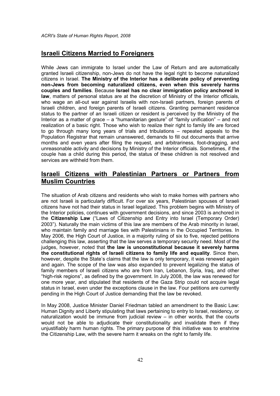### Israeli Citizens Married to Foreigners

While Jews can immigrate to Israel under the Law of Return and are automatically granted Israeli citizenship, non-Jews do not have the legal right to become naturalized citizens in Israel. The Ministry of the Interior has a deliberate policy of preventing non-Jews from becoming naturalized citizens, even when this severely harms couples and families. Because Israel has no clear immigration policy anchored in law, matters of personal status are at the discretion of Ministry of the Interior officials, who wage an all-out war against Israelis with non-Israeli partners, foreign parents of Israeli children, and foreign parents of Israeli citizens. Granting permanent residence status to the partner of an Israeli citizen or resident is perceived by the Ministry of the Interior as a matter of grace – a "humanitarian gesture" of "family unification" – and not realization of a basic right. Those who wish to realize their right to family life are forced to go through many long years of trials and tribulations – repeated appeals to the Population Registrar that remain unanswered, demands to fill out documents that arrive months and even years after filing the request, and arbitrariness, foot-dragging, and unreasonable activity and decisions by Ministry of the Interior officials. Sometimes, if the couple has a child during this period, the status of these children is not resolved and services are withheld from them.

## Israeli Citizens with Palestinian Partners or Partners from Muslim Countries

The situation of Arab citizens and residents who wish to make homes with partners who are not Israeli is particularly difficult. For over six years, Palestinian spouses of Israeli citizens have not had their status in Israel legalized. This problem begins with Ministry of the Interior policies, continues with government decisions, and since 2003 is anchored in the Citizenship Law ("Laws of Citizenship and Entry into Israel (Temporary Order) 2003"). Naturally the main victims of this law are members of the Arab minority in Israel, who maintain family and marriage ties with Palestinians in the Occupied Territories. In May 2006, the High Court of Justice, in a majority ruling of six to five, rejected petitions challenging this law, asserting that the law serves a temporary security need. Most of the judges, however, noted that the law is unconstitutional because it severely harms the constitutional rights of Israeli citizens to family life and equality. Since then, however, despite the State's claims that the law is only temporary, it was renewed again and again. The scope of the law was also expanded to prevent legalizing the status of family members of Israeli citizens who are from Iran, Lebanon, Syria, Iraq, and other "high-risk regions", as defined by the government. In July 2008, the law was renewed for one more year, and stipulated that residents of the Gaza Strip could not acquire legal status in Israel, even under the exceptions clause in the law. Four petitions are currently pending in the High Court of Justice demanding that the law be revoked.

In May 2008, Justice Minister Daniel Friedman tabled an amendment to the Basic Law: Human Dignity and Liberty stipulating that laws pertaining to entry to Israel, residency, or naturalization would be immune from judicial review – in other words, that the courts would not be able to adjudicate their constitutionality and invalidate them if they unjustifiably harm human rights. The primary purpose of this initiative was to enshrine the Citizenship Law, with the severe harm it wreaks on the right to family life.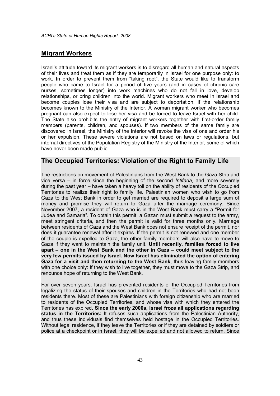## Migrant Workers

Israel's attitude toward its migrant workers is to disregard all human and natural aspects of their lives and treat them as if they are temporarily in Israel for one purpose only: to work. In order to prevent them from "taking root", the State would like to transform people who came to Israel for a period of five years (and in cases of chronic care nurses, sometimes longer) into work machines who do not fall in love, develop relationships, or bring children into the world. Migrant workers who meet in Israel and become couples lose their visa and are subject to deportation, if the relationship becomes known to the Ministry of the Interior. A woman migrant worker who becomes pregnant can also expect to lose her visa and be forced to leave Israel with her child. The State also prohibits the entry of migrant workers together with first-order family members (parents, children, and spouses). If two members of the same family are discovered in Israel, the Ministry of the Interior will revoke the visa of one and order his or her expulsion. These severe violations are not based on laws or regulations, but internal directives of the Population Registry of the Ministry of the Interior, some of which have never been made public.

### The Occupied Territories: Violation of the Right to Family Life

The restrictions on movement of Palestinians from the West Bank to the Gaza Strip and vice versa – in force since the beginning of the second Intifada, and more severely during the past year – have taken a heavy toll on the ability of residents of the Occupied Territories to realize their right to family life. Palestinian women who wish to go from Gaza to the West Bank in order to get married are required to deposit a large sum of money and promise they will return to Gaza after the marriage ceremony. Since November 2007, a resident of Gaza who is in the West Bank must carry a "Permit for Judea and Samaria". To obtain this permit, a Gazan must submit a request to the army, meet stringent criteria, and then the permit is valid for three months only. Marriage between residents of Gaza and the West Bank does not ensure receipt of the permit, nor does it guarantee renewal after it expires. If the permit is not renewed and one member of the couple is expelled to Gaza, the other family members will also have to move to Gaza if they want to maintain the family unit. Until recently, families forced to live apart – one in the West Bank and the other in Gaza – could meet subject to the very few permits issued by Israel. Now Israel has eliminated the option of entering Gaza for a visit and then returning to the West Bank, thus leaving family members with one choice only: If they wish to live together, they must move to the Gaza Strip, and renounce hope of returning to the West Bank.

For over seven years, Israel has prevented residents of the Occupied Territories from legalizing the status of their spouses and children in the Territories who had not been residents there. Most of these are Palestinians with foreign citizenship who are married to residents of the Occupied Territories, and whose visa with which they entered the Territories has expired. Since the early 2000s, Israel froze all applications regarding status in the Territories: It refuses such applications from the Palestinian Authority, and thus these individuals find themselves held hostage in the Occupied Territories. Without legal residence, if they leave the Territories or if they are detained by soldiers or police at a checkpoint or in Israel, they will be expelled and not allowed to return. Since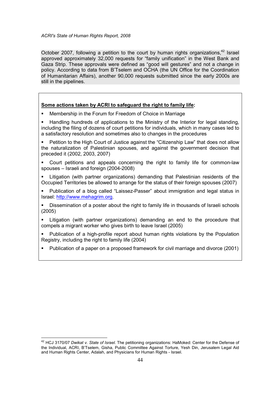October 2007, following a petition to the court by human rights organizations,  $42$  Israel approved approximately 32,000 requests for "family unification" in the West Bank and Gaza Strip. These approvals were defined as "good will gestures" and not a change in policy. According to data from B'Tselem and OCHA (the UN Office for the Coordination of Humanitarian Affairs), another 90,000 requests submitted since the early 2000s are still in the pipelines.

#### Some actions taken by ACRI to safeguard the right to family life:

- Membership in the Forum for Freedom of Choice in Marriage
- Handling hundreds of applications to the Ministry of the Interior for legal standing, including the filing of dozens of court petitions for individuals, which in many cases led to a satisfactory resolution and sometimes also to changes in the procedures
- Petition to the High Court of Justice against the "Citizenship Law" that does not allow the naturalization of Palestinian spouses, and against the government decision that preceded it (2002, 2003, 2007)
- Court petitions and appeals concerning the right to family life for common-law spouses – Israeli and foreign (2004-2008)
- Litigation (with partner organizations) demanding that Palestinian residents of the Occupied Territories be allowed to arrange for the status of their foreign spouses (2007)
- Publication of a blog called "Laissez-Passer" about immigration and legal status in Israel: http://www.mehagrim.org.
- Dissemination of a poster about the right to family life in thousands of Israeli schools (2005)
- Litigation (with partner organizations) demanding an end to the procedure that compels a migrant worker who gives birth to leave Israel (2005)
- Publication of a high-profile report about human rights violations by the Population Registry, including the right to family life (2004)
- Publication of a paper on a proposed framework for civil marriage and divorce (2001)

-

<sup>&</sup>lt;sup>42</sup> HCJ 3170/07 Dwikat v. State of Israel. The petitioning organizations: HaMoked: Center for the Defense of the Individual, ACRI, B'Tselem, Gisha, Public Committee Against Torture, Yesh Din, Jerusalem Legal Aid and Human Rights Center, Adalah, and Physicians for Human Rights - Israel.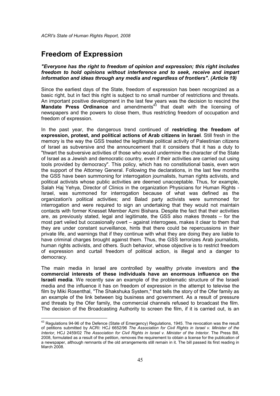## Freedom of Expression

-

"Everyone has the right to freedom of opinion and expression; this right includes freedom to hold opinions without interference and to seek, receive and impart information and ideas through any media and regardless of frontiers". (Article 19)

Since the earliest days of the State, freedom of expression has been recognized as a basic right, but in fact this right is subject to no small number of restrictions and threats. An important positive development in the last few years was the decision to rescind the **Mandate Press Ordinance** and amendments<sup>43</sup> that dealt with the licensing of newspapers and the powers to close them, thus restricting freedom of occupation and freedom of expression.

In the past year, the dangerous trend continued of restricting the freedom of expression, protest, and political actions of Arab citizens in Israel. Still fresh in the memory is the way the GSS treated the legitimate political activity of Palestinian citizens of Israel as subversive and the announcement that it considers that it has a duty to "thwart the subversive activities of those who would undermine the character of the State of Israel as a Jewish and democratic country, even if their activities are carried out using tools provided by democracy". This policy, which has no constitutional basis, even won the support of the Attorney General. Following the declarations, in the last few months the GSS have been summoning for interrogation journalists, human rights activists, and political activists whose public activities are deemed unacceptable. Thus, for example, Salah Haj Yehya, Director of Clinics in the organization Physicians for Human Rights - Israel, was summoned for interrogation because of what was defined as the organization's political activities; and Balad party activists were summoned for interrogation and were required to sign an undertaking that they would not maintain contacts with former Knesset Member Azmi Bishara. Despite the fact that their activities are, as previously stated, legal and legitimate, the GSS also makes threats – for the most part veiled but occasionally overt – against interrogees, makes it clear to them that they are under constant surveillance, hints that there could be repercussions in their private life, and warnings that if they continue with what they are doing they are liable to have criminal charges brought against them. Thus, the GSS terrorizes Arab journalists, human rights activists, and others. Such behavior, whose objective is to restrict freedom of expression and curtail freedom of political action, is illegal and a danger to democracy.

The main media in Israel are controlled by wealthy private investors and the commercial interests of these individuals have an enormous influence on the Israeli media. We recently saw an example of the problematic structure of the Israeli media and the influence it has on freedom of expression in the attempt to televise the film by Miki Rosenthal, "The Shakshuka System," that tells the story of the Ofer family as an example of the link between big business and government. As a result of pressure and threats by the Ofer family, the commercial channels refused to broadcast the film. The decision of the Broadcasting Authority to screen the film, if it is carried out, is an

 $^{43}$  Regulations 94-96 of the Defence (State of Emergency) Regulations, 1945. The revocation was the result of petitions submitted by ACRI: HCJ 6652/96 The Association for Civil Rights in Israel v. Minister of the Interior, HCJ 2459/02 The Association for Civil Rights in Israel v. Minister of the Interior. The Press Bill, 2008, formulated as a result of the petition, removes the requirement to obtain a license for the publication of a newspaper, although remnants of the old arrangements still remain in it. The bill passed its first reading in March 2008.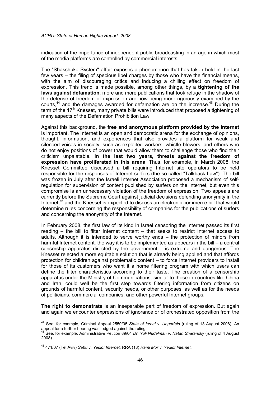indication of the importance of independent public broadcasting in an age in which most of the media platforms are controlled by commercial interests.

The "Shakshuka System" affair exposes a phenomenon that has taken hold in the last few years – the filing of specious libel charges by those who have the financial means, with the aim of discouraging critics and inducing a chilling effect on freedom of expression. This trend is made possible, among other things, by a tightening of the laws against defamation: more and more publications that took refuge in the shadow of the defense of freedom of expression are now being more rigorously examined by the courts,<sup>44</sup> and the damages awarded for defamation are on the increase.<sup>45</sup> During the term of the  $17<sup>th</sup>$  Knesset, many private bills were introduced that proposed a tightening of many aspects of the Defamation Prohibition Law.

Against this background, the free and anonymous platform provided by the Internet is important. The Internet is an open and democratic arena for the exchange of opinions, thought, information, and experiences that also provides a platform for weak and silenced voices in society, such as exploited workers, whistle blowers, and others who do not enjoy positions of power that would allow them to challenge those who find their criticism unpalatable. In the last two years, threats against the freedom of expression have proliferated in this arena. Thus, for example, in March 2008, the Knesset Committee discussed a bill requiring Internet site operators to be held responsible for the responses of Internet surfers (the so-called "Talkback Law"). The bill was frozen in July after the Israeli Internet Association proposed a mechanism of selfregulation for supervision of content published by surfers on the Internet, but even this compromise is an unnecessary violation of the freedom of expression. Two appeals are currently before the Supreme Court against judicial decisions defending anonymity in the Internet,<sup>46</sup> and the Knesset is expected to discuss an electronic commerce bill that would determine rules concerning the responsibility of companies for the publications of surfers and concerning the anonymity of the Internet.

In February 2008, the first law of its kind in Israel censoring the Internet passed its first reading – the bill to filter Internet content – that seeks to restrict Internet access to adults. Although it is intended to serve worthy ends – the protection of minors from harmful Internet content, the way it is to be implemented as appears in the bill – a central censorship apparatus directed by the government – is extreme and dangerous. The Knesset rejected a more equitable solution that is already being applied and that affords protection for children against problematic content – to force Internet providers to install for those of its customers who want it a home filtering program with which users can define the filter characteristics according to their taste. The creation of a censorship apparatus under the Ministry of Communications, similar to those in countries like China and Iran, could well be the first step towards filtering information from citizens on grounds of harmful content, security needs, or other purposes, as well as for the needs of politicians, commercial companies, and other powerful Internet groups.

The right to demonstrate is an inseparable part of freedom of expression. But again and again we encounter expressions of ignorance or of orchestrated opposition from the

 $\overline{a}$ 

<sup>&</sup>lt;sup>44</sup> See, for example, Criminal Appeal 2550/05 State of Israel v. Ungerfeld (ruling of 13 August 2008). An appeal for a further hearing was lodged against the ruling.

<sup>&</sup>lt;sup>i</sup> See, for example, Administrative Petition 89/04 *Dr. Yuli Nudelman v. Natan Sharansky (*ruling of 4 August 2008).

<sup>&</sup>lt;sup>46</sup> 471/07 (Tel Aviv) Sabu v. Yediot Internet; RRA (18) Rami Mor v. Yediot Internet.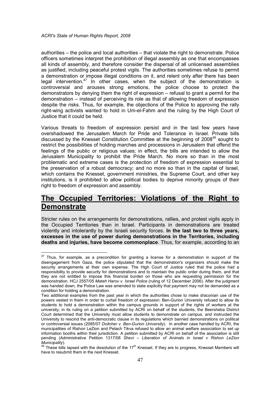authorities – the police and local authorities – that violate the right to demonstrate. Police officers sometimes interpret the prohibition of illegal assembly as one that encompasses all kinds of assembly, and therefore consider the dispersal of all unlicensed assemblies as justified, including peaceful protest vigils. The authorities sometimes refuse to permit a demonstration or impose illegal conditions on it, and relent only after there has been legal intervention.<sup>47</sup> In other cases, when the subject of the demonstration is controversial and arouses strong emotions, the police choose to protect the demonstrators by denying them the right of expression – refusal to grant a permit for the demonstration – instead of perceiving its role as that of allowing freedom of expression despite the risks. Thus, for example, the objections of the Police to approving the rally right-wing activists wanted to hold in Um-el-Fahm and the ruling by the High Court of Justice that it could be held.

Various threats to freedom of expression persist and in the last few years have overshadowed the Jerusalem March for Pride and Tolerance in Israel. Private bills discussed by the Knesset Constitution Committee at the beginning of 2008<sup>48</sup> sought to restrict the possibilities of holding marches and processions in Jerusalem that offend the feelings of the public or religious values; in effect, the bills are intended to allow the Jerusalem Municipality to prohibit the Pride March. No more so than in the most problematic and extreme cases is the protection of freedom of expression essential to the preservation of a robust democracy; and no more so than in the capital of Israel, which contains the Knesset, government ministries, the Supreme Court, and other key institutions, is it prohibited to allow political bodies to deprive minority groups of their right to freedom of expression and assembly.

# The Occupied Territories: Violations of the Right to **Demonstrate**

Stricter rules on the arrangements for demonstrations, rallies, and protest vigils apply in the Occupied Territories than in Israel. Participants in demonstrations are treated violently and intolerantly by the Israeli security forces. In the last two to three years, excesses in the use of power during demonstrations in the Territories, including deaths and injuries, have become commonplace. Thus, for example, according to an

<sup>-</sup> $47$  Thus, for example, as a precondition for granting a license for a demonstration in support of the disengagement from Gaza, the police stipulated that the demonstration's organizers should make the security arrangements at their own expense. The High Court of Justice ruled that the police had a responsibility to provide security for demonstrations and to maintain the public order during them, and that they are not entitled to impose this financial burden on those who are requesting permission for the demonstration. HCJ 2557/05 Mateh Harov v. Israel Police (ruling of 12 December 2006). After the judgment was handed down, the Police Law was amended to state explicitly that payment may not be demanded as a condition for holding a demonstration.

Two additional examples from the past year in which the authorities chose to make draconian use of the powers vested in them in order to curtail freedom of expression: Ben-Gurion University refused to allow its students to hold a demonstration within the campus grounds in support of the rights of workers at the university; in its ruling on a petition submitted by ACRI on behalf of the students, the Beersheba District Court determined that the University must allow students to demonstrate on campus, and instructed the University to rescind the anti-democratic clause in its regulations which banned demonstrations on political or controversial issues (2085/07 Doitcher v. Ben-Gurion University). In another case handled by ACRI, the municipalities of Rishon LeZion and Petach Tikva refused to allow an animal welfare association to set up information booths within their jurisdiction. A petition submitted by ACRI on behalf of the association is still pending (Administrative Petition 1317/08 Shevi – Liberation of Animals in Israel v Rishon LeZion Municipality).

<sup>&</sup>lt;sup>48</sup> These bills lapsed with the dissolution of the 17<sup>th</sup> Knesset. If they are to progress, Knesset Members will have to resubmit them in the next Knesset.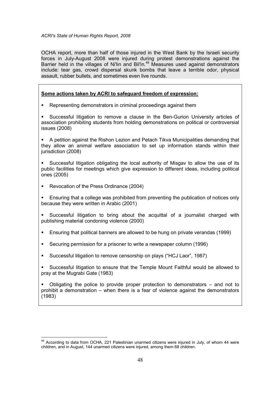OCHA report, more than half of those injured in the West Bank by the Israeli security forces in July-August 2008 were injured during protest demonstrations against the Barrier held in the villages of Ni'lin and Bil'in.<sup>49</sup> Measures used against demonstrators include: tear gas, crowd dispersal skunk bombs that leave a terrible odor, physical assault, rubber bullets, and sometimes even live rounds.

### Some actions taken by ACRI to safeguard freedom of expression:

**Representing demonstrators in criminal proceedings against them** 

 Successful litigation to remove a clause in the Ben-Gurion University articles of association prohibiting students from holding demonstrations on political or controversial issues (2008)

 A petition against the Rishon Lezion and Petach Tikva Municipalities demanding that they allow an animal welfare association to set up information stands within their jurisdiction (2008)

 Successful litigation obligating the local authority of Misgav to allow the use of its public facilities for meetings which give expression to different ideas, including political ones (2005)

Revocation of the Press Ordinance (2004)

-

- Ensuring that a college was prohibited from preventing the publication of notices only because they were written in Arabic (2001)
- Successful litigation to bring about the acquittal of a journalist charged with publishing material condoning violence (2000)
- Ensuring that political banners are allowed to be hung on private verandas (1999)
- Securing permission for a prisoner to write a newspaper column (1996)
- Successful litigation to remove censorship on plays ("HCJ Laor", 1987)
- Successful litigation to ensure that the Temple Mount Faithful would be allowed to pray at the Mugrabi Gate (1983)

 Obligating the police to provide proper protection to demonstrators – and not to prohibit a demonstration – when there is a fear of violence against the demonstrators (1983)

<sup>&</sup>lt;sup>49</sup> According to data from OCHA, 221 Palestinian unarmed citizens were injured in July, of whom 44 were children, and in August, 144 unarmed citizens were injured, among them 68 children.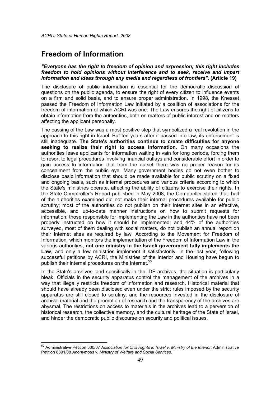## Freedom of Information

 $\overline{a}$ 

#### "Everyone has the right to freedom of opinion and expression; this right includes freedom to hold opinions without interference and to seek, receive and impart information and ideas through any media and regardless of frontiers". (Article 19)

The disclosure of public information is essential for the democratic discussion of questions on the public agenda, to ensure the right of every citizen to influence events on a firm and solid basis, and to ensure proper administration. In 1998, the Knesset passed the Freedom of Information Law initiated by a coalition of associations for the freedom of information of which ACRI was one. The Law ensures the right of citizens to obtain information from the authorities, both on matters of public interest and on matters affecting the applicant personally.

The passing of the Law was a most positive step that symbolized a real revolution in the approach to this right in Israel. But ten years after it passed into law, its enforcement is still inadequate. The State's authorities continue to create difficulties for anyone seeking to realize their right to access information. On many occasions the authorities leave applicants for information waiting in vain for long periods, forcing them to resort to legal procedures involving financial outlays and considerable effort in order to gain access to information that from the outset there was no proper reason for its concealment from the public eye. Many government bodies do not even bother to disclose basic information that should be made available for public scrutiny on a fixed and ongoing basis, such as internal procedures and various criteria according to which the State's ministries operate, affecting the ability of citizens to exercise their rights. In the State Comptroller's Report published in May 2008, the Comptroller stated that: half of the authorities examined did not make their internal procedures available for public scrutiny; most of the authorities do not publish on their Internet sites in an effective, accessible, and up-to-date manner instructions on how to submit requests for information; those responsible for implementing the Law in the authorities have not been properly instructed on how it should be implemented; and 44% of the authorities surveyed, most of them dealing with social matters, do not publish an annual report on their Internet sites as required by law. According to the Movement for Freedom of Information, which monitors the implementation of the Freedom of Information Law in the various authorities, not one ministry in the Israeli government fully implements the Law, and only a few ministries implement it satisfactorily. In the last year, following successful petitions by ACRI, the Ministries of the Interior and Housing have begun to publish their internal procedures on the Internet.<sup>50</sup>

In the State's archives, and specifically in the IDF archives, the situation is particularly bleak. Officials in the security apparatus control the management of the archives in a way that illegally restricts freedom of information and research. Historical material that should have already been disclosed even under the strict rules imposed by the security apparatus are still closed to scrutiny, and the resources invested in the disclosure of archival material and the promotion of research and the transparency of the archives are abysmal. The restrictions on access to materials in the archives lead to a perversion of historical research, the collective memory, and the cultural heritage of the State of Israel, and hinder the democratic public discourse on security and political issues.

<sup>&</sup>lt;sup>50</sup> Administrative Petition 530/07 Association for Civil Rights in Israel v. Ministry of the Interior; Administrative Petition 8391/08 Anonymous v. Ministry of Welfare and Social Services.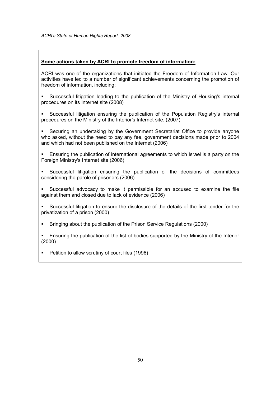### Some actions taken by ACRI to promote freedom of information:

ACRI was one of the organizations that initiated the Freedom of Information Law. Our activities have led to a number of significant achievements concerning the promotion of freedom of information, including:

 Successful litigation leading to the publication of the Ministry of Housing's internal procedures on its Internet site (2008)

 Successful litigation ensuring the publication of the Population Registry's internal procedures on the Ministry of the Interior's Internet site. (2007)

 Securing an undertaking by the Government Secretariat Office to provide anyone who asked, without the need to pay any fee, government decisions made prior to 2004 and which had not been published on the Internet (2006)

 Ensuring the publication of international agreements to which Israel is a party on the Foreign Ministry's Internet site (2006)

 Successful litigation ensuring the publication of the decisions of committees considering the parole of prisoners (2006)

 Successful advocacy to make it permissible for an accused to examine the file against them and closed due to lack of evidence (2006)

 Successful litigation to ensure the disclosure of the details of the first tender for the privatization of a prison (2000)

Bringing about the publication of the Prison Service Regulations (2000)

 Ensuring the publication of the list of bodies supported by the Ministry of the Interior (2000)

• Petition to allow scrutiny of court files (1996)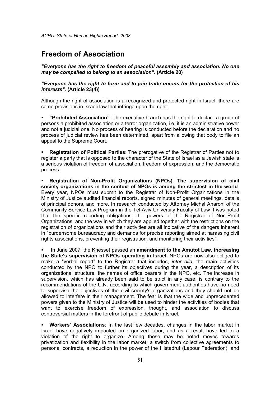# Freedom of Association

"Everyone has the right to freedom of peaceful assembly and association. No one may be compelled to belong to an association". (Article 20)

#### "Everyone has the right to form and to join trade unions for the protection of his interests". (Article 23(4))

Although the right of association is a recognized and protected right in Israel, there are some provisions in Israeli law that infringe upon the right:

 "Prohibited Association": The executive branch has the right to declare a group of persons a prohibited association or a terror organization, i.e. it is an administrative power and not a judicial one. No process of hearing is conducted before the declaration and no process of judicial review has been determined, apart from allowing that body to file an appeal to the Supreme Court.

 Registration of Political Parties: The prerogative of the Registrar of Parties not to register a party that is opposed to the character of the State of Israel as a Jewish state is a serious violation of freedom of association, freedom of expression, and the democratic process.

 Registration of Non-Profit Organizations (NPOs): The supervision of civil society organizations in the context of NPOs is among the strictest in the world. Every year, NPOs must submit to the Registrar of Non-Profit Organizations in the Ministry of Justice audited financial reports, signed minutes of general meetings, details of principal donors, and more. In research conducted by Attorney Michal Aharoni of the Community Service Law Program in the Tel-Aviv University Faculty of Law it was noted that the specific reporting obligations, the powers of the Registrar of Non-Profit Organizations, and the way in which they are applied together with the restrictions on the registration of organizations and their activities are all indicative of the dangers inherent in "burdensome bureaucracy and demands for precise reporting aimed at harassing civil rights associations, preventing their registration, and monitoring their activities".

 In June 2007, the Knesset passed an amendment to the Amutot Law, increasing the State's supervision of NPOs operating in Israel. NPOs are now also obliged to make a "verbal report" to the Registrar that includes, *inter alia*, the main activities conducted by the NPO to further its objectives during the year, a description of its organizational structure, the names of office bearers in the NPO, etc. The increase in supervision, which has already been said to be strict in any case, is contrary to the recommendations of the U.N. according to which government authorities have no need to supervise the objectives of the civil society's organizations and they should not be allowed to interfere in their management. The fear is that the wide and unprecedented powers given to the Ministry of Justice will be used to hinder the activities of bodies that want to exercise freedom of expression, thought, and association to discuss controversial matters in the forefront of public debate in Israel.

 Workers' Associations: In the last few decades, changes in the labor market in Israel have negatively impacted on organized labor, and as a result have led to a violation of the right to organize. Among these may be noted moves towards privatization and flexibility in the labor market, a switch from collective agreements to personal contracts, a reduction in the power of the Histadrut (Labour Federation), and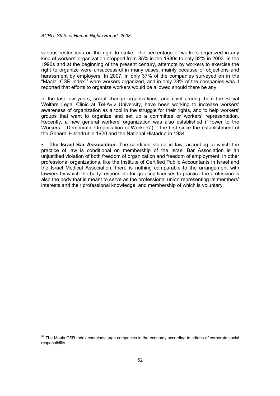various restrictions on the right to strike. The percentage of workers organized in any kind of workers' organization dropped from 85% in the 1980s to only 32% in 2003. In the 1990s and at the beginning of the present century, attempts by workers to exercise the right to organize were unsuccessful in many cases, mainly because of objections and harassment by employers. In 2007, in only 37% of the companies surveyed on in the "Maala" CSR Index<sup>51</sup> were workers organized, and in only 28% of the companies was it reported that efforts to organize workers would be allowed should there be any.

In the last few years, social change organizations, and chief among them the Social Welfare Legal Clinic at Tel-Aviv University, have been working to increase workers' awareness of organization as a tool in the struggle for their rights, and to help workers' groups that want to organize and set up a committee or workers' representation. Recently, a new general workers' organization was also established ("Power to the Workers – Democratic Organization of Workers") – the first since the establishment of the General Histadrut in 1920 and the National Histadrut in 1934.

 The Israel Bar Association: The condition stated in law, according to which the practice of law is conditional on membership of the Israel Bar Association is an unjustified violation of both freedom of organization and freedom of employment. In other professional organizations, like the Institute of Certified Public Accountants in Israel and the Israel Medical Association, there is nothing comparable to the arrangement with lawyers by which the body responsible for granting licenses to practice the profession is also the body that is meant to serve as the professional union representing its members' interests and their professional knowledge, and membership of which is voluntary.

-

<sup>&</sup>lt;sup>51</sup> The Maala CSR Index examines large companies in the economy according to criteria of corporate social responsibility.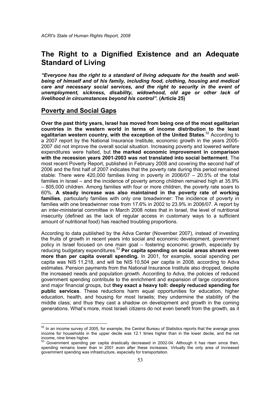# The Right to a Dignified Existence and an Adequate Standard of Living

"Everyone has the right to a standard of living adequate for the health and wellbeing of himself and of his family, including food, clothing, housing and medical care and necessary social services, and the right to security in the event of unemployment, sickness, disability, widowhood, old age or other lack of livelihood in circumstances beyond his control". (Article 25)

### Poverty and Social Gaps

-

Over the past thirty years, Israel has moved from being one of the most egalitarian countries in the western world in terms of income distribution to the least egalitarian western country, with the exception of the United States.<sup>52</sup> According to a 2007 report by the National Insurance Institute, economic growth in the years 2005- 2007 did not improve the overall social situation. Increasing poverty and lowered welfare expenditures were halted, but the marked economic improvement in comparison with the recession years 2001-2003 was not translated into social betterment. The most recent Poverty Report, published in February 2008 and covering the second half of 2006 and the first half of 2007 indicates that the poverty rate during this period remained stable: There were 420,000 families living in poverty in 2006/07 – 20.5% of the total families in Israel – and the incidence of poverty among children remained high at 35.9% – 805,000 children. Among families with four or more children, the poverty rate soars to 60%. A steady increase was also maintained in the poverty rate of working families, particularly families with only one breadwinner: The incidence of poverty in families with one breadwinner rose from 17.6% in 2002 to 23.9% in 2006/07. A report by an inter-ministerial committee in March 2008 notes that in Israel, the level of nutritional insecurity (defined as the lack of regular access in customary ways to a sufficient amount of nutritional food) has reached troubling proportions.

According to data published by the Adva Center (November 2007), instead of investing the fruits of growth in recent years into social and economic development, government policy in Israel focused on one main goal – fostering economic growth, especially by reducing budgetary expenditures.<sup>53</sup> Per capita spending on social areas shrank even more than per capita overall spending. In 2001, for example, social spending per capita was NIS 11,218, and will be NIS 10,504 per capita in 2008, according to Adva estimates. Pension payments from the National Insurance Institute also dropped, despite the increased needs and population growth. According to Adva, the policies of reduced government spending contribute to the enrichment and expansion of large corporations and major financial groups, but they exact a heavy toll: deeply reduced spending for public services. These reductions harm equal opportunities for education, higher education, health, and housing for most Israelis; they undermine the stability of the middle class; and thus they cast a shadow on development and growth in the coming generations. What's more, most Israeli citizens do not even benefit from the growth, as it

 $52$  In an income survey of 2005, for example, the Central Bureau of Statistics reports that the average gross income for households in the upper decile was 12.1 times higher than in the lower decile, and the net income, nine times higher.

<sup>53</sup> Government spending per capita drastically decreased in 2002-04. Although it has risen since then, spending remains lower than in 2001 even after these increases. Virtually the only area of increased government spending was infrastructure, especially for transportation.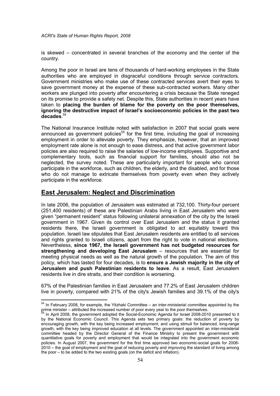is skewed – concentrated in several branches of the economy and the center of the country.

Among the poor in Israel are tens of thousands of hard-working employees in the State authorities who are employed in disgraceful conditions through service contractors. Government ministries who make use of these contracted services avert their eyes to save government money at the expense of these sub-contracted workers. Many other workers are plunged into poverty after encountering a crisis because the State reneged on its promise to provide a safety net. Despite this, State authorities in recent years have taken to placing the burden of blame for the poverty on the poor themselves, ignoring the destructive impact of Israel's socioeconomic policies in the past two decades. 54

The National Insurance Institute noted with satisfaction in 2007 that social goals were announced as government policies<sup>55</sup> for the first time, including the goal of increasing employment in order to alleviate poverty. They emphasize, however, that an improved employment rate alone is not enough to ease distress, and that active government labor policies are also required to raise the salaries of low-income employees. Supportive and complementary tools, such as financial support for families, should also not be neglected, the survey noted. These are particularly important for people who cannot participate in the workforce, such as children, the elderly, and the disabled, and for those who do not manage to extricate themselves from poverty even when they actively participate in the workforce.

## East Jerusalem: Neglect and Discrimination

-

In late 2006, the population of Jerusalem was estimated at 732,100. Thirty-four percent (251,400 residents) of these are Palestinian Arabs living in East Jerusalem who were given "permanent resident" status following unilateral annexation of the city by the Israeli government in 1967. Given its control over East Jerusalem and the status it granted residents there, the Israeli government is obligated to act equitably toward this population. Israeli law stipulates that East Jerusalem residents are entitled to all services and rights granted to Israeli citizens, apart from the right to vote in national elections. Nevertheless, since 1967, the Israeli government has not budgeted resources for strengthening and developing East Jerusalem – resources that are essential for meeting physical needs as well as the natural growth of the population. The aim of this policy, which has lasted for four decades, is to ensure a Jewish majority in the city of Jerusalem and push Palestinian residents to leave. As a result, East Jerusalem residents live in dire straits, and their condition is worsening.

67% of the Palestinian families in East Jerusalem and 77.2% of East Jerusalem children live in poverty, compared with 21% of the city's Jewish families and 39.1% of the city's

 $54$  In February 2008, for example, the Yitzhaki Committee – an inter-ministerial committee appointed by the

prime minister – attributed the increased number of poor every year to the poor themselves.<br><sup>55</sup> In April 2008, the government adopted the Social-Economic Agenda for Israel 2008-2010 presented to it by the National Economic Council. This Agenda sets two primary goals: the reduction of poverty by encouraging growth, with the key being increased employment; and using stimuli for balanced, long-range growth, with the key being improved education at all levels. The government appointed an inter-ministerial committee headed by the Director General of the Finance Ministry to present the government with quantitative goals for poverty and employment that would be integrated into the government economic policies. In August 2007, the government for the first time approved two economic-social goals for 2008- 2010 – the goal of employment and the goal of reducing poverty and improving the standard of living among the poor – to be added to the two existing goals (on the deficit and inflation).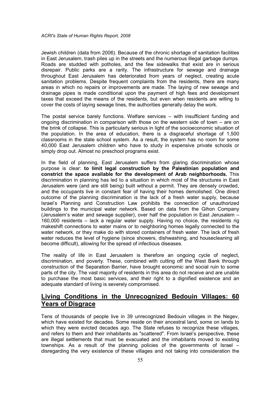Jewish children (data from 2006). Because of the chronic shortage of sanitation facilities in East Jerusalem, trash piles up in the streets and the numerous illegal garbage dumps. Roads are studded with potholes, and the few sidewalks that exist are in serious disrepair. Public parks are a rarity. The infrastructure for sewage and drainage throughout East Jerusalem has deteriorated from years of neglect, creating acute sanitation problems. Despite frequent complaints from the residents, there are many areas in which no repairs or improvements are made. The laying of new sewage and drainage pipes is made conditional upon the payment of high fees and development taxes that exceed the means of the residents, but even when residents are willing to cover the costs of laying sewage lines, the authorities generally delay the work.

The postal service barely functions. Welfare services – with insufficient funding and ongoing discrimination in comparison with those on the western side of town – are on the brink of collapse. This is particularly serious in light of the socioeconomic situation of the population. In the area of education, there is a disgraceful shortage of 1,500 classrooms in the state school system. As a result, the system has no room for some 40,000 East Jerusalem children who have to study in expensive private schools or simply drop out. Almost no preschool programs exist.

In the field of planning, East Jerusalem suffers from glaring discrimination whose purpose is clear: to limit legal construction by the Palestinian population and constrict the space available for the development of Arab neighborhoods. This discrimination in planning has led to a situation in which most of the structures in East Jerusalem were (and are still being) built without a permit. They are densely crowded, and the occupants live in constant fear of having their homes demolished. One direct outcome of the planning discrimination is the lack of a fresh water supply, because Israel's Planning and Construction Law prohibits the connection of unauthorized buildings to the municipal water network. Based on data from the Gihon Company (Jerusalem's water and sewage supplier), over half the population in East Jerusalem – 160,000 residents – lack a regular water supply. Having no choice, the residents rig makeshift connections to water mains or to neighboring homes legally connected to the water network, or they make do with stored containers of fresh water. The lack of fresh water reduces the level of hygiene (since showers, dishwashing, and housecleaning all become difficult), allowing for the spread of infectious diseases.

The reality of life in East Jerusalem is therefore an ongoing cycle of neglect, discrimination, and poverty. These, combined with cutting off the West Bank through construction of the Separation Barrier, have brought economic and social ruin to some parts of the city. The vast majority of residents in this area do not receive and are unable to purchase the most basic services, and their right to a dignified existence and an adequate standard of living is severely compromised.

## Living Conditions in the Unrecognized Bedouin Villages: 60 Years of Disgrace

Tens of thousands of people live in 39 unrecognized Bedouin villages in the Negev, which have existed for decades. Some reside on their ancestral land, some on lands to which they were evicted decades ago. The State refuses to recognize these villages, and refers to them and their inhabitants as "scattered". From Israel's perspective, these are illegal settlements that must be evacuated and the inhabitants moved to existing townships. As a result of the planning policies of the governments of Israel – disregarding the very existence of these villages and not taking into consideration the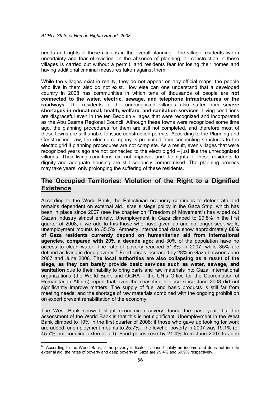needs and rights of these citizens in the overall planning – the village residents live in uncertainty and fear of eviction. In the absence of planning, all construction in these villages is carried out without a permit, and residents fear for losing their homes and having additional criminal measures taken against them.

While the villages exist in reality, they do not appear on any official maps; the people who live in them also do not exist. How else can one understand that a developed country in 2008 has communities in which tens of thousands of people are not connected to the water, electric, sewage, and telephone infrastructures or the **roadways**. The residents of the unrecognized villages also suffer from **severe** shortages in educational, health, welfare, and sanitation services. Living conditions are disgraceful even in the ten Bedouin villages that were recognized and incorporated as the Abu Basma Regional Council. Although these towns were recognized some time ago, the planning procedures for them are still not completed, and therefore most of these towns are still unable to issue construction permits. According to the Planning and Construction Law, the electric company is prohibited from connecting structures to the electric grid if planning procedures are not complete. As a result, even villages that were recognized years ago are not connected to the electric grid – just like the unrecognized villages. Their living conditions did not improve, and the rights of these residents to dignity and adequate housing are still seriously compromised. The planning process may take years, only prolonging the suffering of these residents.

## The Occupied Territories: Violation of the Right to a Dignified **Existence**

According to the World Bank, the Palestinian economy continues to deteriorate and remains dependent on external aid. Israel's siege policy in the Gaza Strip, which has been in place since 2007 (see the chapter on "Freedom of Movement") has wiped out Gazan industry almost entirely. Unemployment in Gaza climbed to 29.8% in the first quarter of 2008; if we add to this those who have given up and no longer seek work, unemployment mounts to 35.5%. Amnesty International data show approximately 80% of Gaza residents currently depend on humanitarian aid from international agencies, compared with 20% a decade ago; and 30% of the population have no access to clean water. The rate of poverty reached 51.8% in 2007, while 35% are defined as living in deep poverty.<sup>56</sup> Food prices increased by 28% in Gaza between June 2007 and June 2008. The local authorities are also collapsing as a result of the siege, as they can barely provide basic services such as water, sewage, and sanitation due to their inability to bring parts and raw materials into Gaza. International organizations (the World Bank and OCHA – the UN's Office for the Coordination of Humanitarian Affairs) report that even the ceasefire in place since June 2008 did not significantly improve matters: The supply of fuel and basic products is still far from meeting needs; and the shortage of raw materials combined with the ongoing prohibition on export prevent rehabilitation of the economy.

The West Bank showed slight economic recovery during the past year, but the assessment of the World Bank is that this is not significant. Unemployment in the West Bank climbed to 19% in the first quarter of 2008; if those who gave up looking for work are added, unemployment mounts to 25.7%. The level of poverty in 2007 was 19.1% (or 45.7% not counting external aid). Food prices rose by 21.4% from June 2007 to June

-

 $56$  According to the World Bank, if the poverty indicator is based solely on income and does not include external aid, the rates of poverty and deep poverty in Gaza are 79.4% and 69.9% respectively.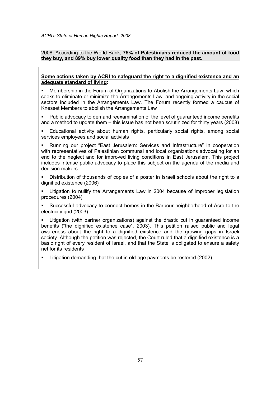2008. According to the World Bank, 75% of Palestinians reduced the amount of food they buy, and 89% buy lower quality food than they had in the past.

#### Some actions taken by ACRI to safeguard the right to a dignified existence and an adequate standard of living:

 Membership in the Forum of Organizations to Abolish the Arrangements Law, which seeks to eliminate or minimize the Arrangements Law, and ongoing activity in the social sectors included in the Arrangements Law. The Forum recently formed a caucus of Knesset Members to abolish the Arrangements Law

- **Public advocacy to demand reexamination of the level of guaranteed income benefits** and a method to update them – this issue has not been scrutinized for thirty years (2008)
- Educational activity about human rights, particularly social rights, among social services employees and social activists

 Running our project "East Jerusalem: Services and Infrastructure" in cooperation with representatives of Palestinian communal and local organizations advocating for an end to the neglect and for improved living conditions in East Jerusalem. This project includes intense public advocacy to place this subject on the agenda of the media and decision makers

 Distribution of thousands of copies of a poster in Israeli schools about the right to a dignified existence (2006)

 Litigation to nullify the Arrangements Law in 2004 because of improper legislation procedures (2004)

 Successful advocacy to connect homes in the Barbour neighborhood of Acre to the electricity grid (2003)

 Litigation (with partner organizations) against the drastic cut in guaranteed income benefits ("the dignified existence case", 2003). This petition raised public and legal awareness about the right to a dignified existence and the growing gaps in Israeli society. Although the petition was rejected, the Court ruled that a dignified existence is a basic right of every resident of Israel, and that the State is obligated to ensure a safety net for its residents

Litigation demanding that the cut in old-age payments be restored (2002)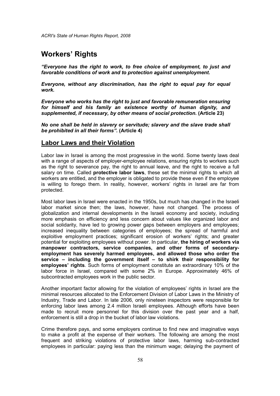## Workers' Rights

"Everyone has the right to work, to free choice of employment, to just and favorable conditions of work and to protection against unemployment.

Everyone, without any discrimination, has the right to equal pay for equal work.

Everyone who works has the right to just and favorable remuneration ensuring for himself and his family an existence worthy of human dignity, and supplemented, if necessary, by other means of social protection. (Article 23)

No one shall be held in slavery or servitude; slavery and the slave trade shall be prohibited in all their forms". (Article 4)

### Labor Laws and their Violation

Labor law in Israel is among the most progressive in the world. Some twenty laws deal with a range of aspects of employer-employee relations, ensuring rights to workers such as the right to severance pay, the right to annual leave, and the right to receive a full salary on time. Called **protective labor laws**, these set the minimal rights to which all workers are entitled, and the employer is obligated to provide these even if the employee is willing to forego them. In reality, however, workers' rights in Israel are far from protected.

Most labor laws in Israel were enacted in the 1950s, but much has changed in the Israeli labor market since then; the laws, however, have not changed. The process of globalization and internal developments in the Israeli economy and society, including more emphasis on efficiency and less concern about values like organized labor and social solidarity, have led to growing power gaps between employers and employees; increased inequality between categories of employees; the spread of harmful and exploitive employment practices; significant erosion of workers' rights; and greater potential for exploiting employees without power. In particular, the hiring of workers via manpower contractors, service companies, and other forms of secondaryemployment has severely harmed employees, and allowed those who order the service – including the government itself – to shirk their responsibility for employees' rights. Such forms of employment constitute an extraordinary 10% of the labor force in Israel, compared with some 2% in Europe. Approximately 46% of subcontracted employees work in the public sector.

Another important factor allowing for the violation of employees' rights in Israel are the minimal resources allocated to the Enforcement Division of Labor Laws in the Ministry of Industry, Trade and Labor. In late 2006, only nineteen inspectors were responsible for enforcing labor laws among 2.4 million Israeli employees. Although efforts have been made to recruit more personnel for this division over the past year and a half, enforcement is still a drop in the bucket of labor law violations.

Crime therefore pays, and some employers continue to find new and imaginative ways to make a profit at the expense of their workers. The following are among the most frequent and striking violations of protective labor laws, harming sub-contracted employees in particular: paying less than the minimum wage; delaying the payment of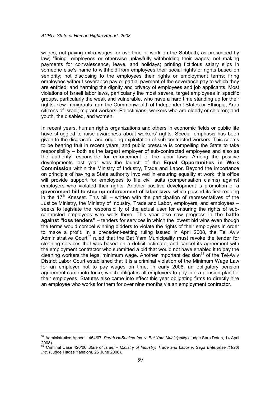wages; not paying extra wages for overtime or work on the Sabbath, as prescribed by law; "fining" employees or otherwise unlawfully withholding their wages; not making payments for convalescence, leave, and holidays; printing fictitious salary slips in someone else's name to withhold from employees their social rights or rights based on seniority; not disclosing to the employees their rights or employment terms; firing employees without severance pay or partial payment of the severance pay to which they are entitled; and harming the dignity and privacy of employees and job applicants. Most violations of Israeli labor laws, particularly the most severe, target employees in specific groups, particularly the weak and vulnerable, who have a hard time standing up for their rights: new immigrants from the Commonwealth of Independent States or Ethiopia; Arab citizens of Israel; migrant workers; Palestinians; workers who are elderly or children; and youth, the disabled, and women.

In recent years, human rights organizations and others in economic fields or public life have struggled to raise awareness about workers' rights. Special emphasis has been given to the disgraceful and ongoing exploitation of sub-contracted workers. This seems to be bearing fruit in recent years, and public pressure is compelling the State to take responsibility – both as the largest employer of sub-contracted employees and also as the authority responsible for enforcement of the labor laws. Among the positive developments last year was the launch of the Equal Opportunities in Work Commission within the Ministry of Industry, Trade and Labor. Beyond the importance on principle of having a State authority involved in ensuring equality at work, this office will provide support for employees to file civil suits (compensation claims) against employers who violated their rights. Another positive development is promotion of a government bill to step up enforcement of labor laws, which passed its first reading in the  $17<sup>th</sup>$  Knesset. This bill – written with the participation of representatives of the Justice Ministry, the Ministry of Industry, Trade and Labor, employers, and employees – seeks to legislate the responsibility of the actual user for ensuring the rights of subcontracted employees who work there. This year also saw progress in the battle against "loss tenders" – tenders for services in which the lowest bid wins even though the terms would compel winning bidders to violate the rights of their employees in order to make a profit. In a precedent-setting ruling issued in April 2008, the Tel Aviv Administrative Court<sup>57</sup> ruled that the Bat Yam Municipality must revoke the tender for cleaning services that was based on a deficit estimate, and cancel its agreement with the employment contractor who submitted a bid that would not have enabled it to pay the cleaning workers the legal minimum wage. Another important decision<sup>58</sup> of the Tel-Aviv District Labor Court established that it is a criminal violation of the Minimum Wage Law for an employer not to pay wages on time. In early 2008, an obligatory pension agreement came into force, which obligates all employers to pay into a pension plan for their employees. Statutes also came into effect this year obligating firms to directly hire an employee who works for them for over nine months via an employment contractor.

 $\overline{a}$ 

<sup>57</sup> Administrative Appeal 1464/07, Perah HaShaked Inc. v. Bat Yam Municipality (Judge Sara Dotan, 14 April 2008).<br><sup>58</sup> Criminal Case 420/06 *State of Israel – Ministry of Industry, Trade and Labor v. Saga Enterprise (1996)* 

Inc. (Judge Hadas Yahalom, 26 June 2008).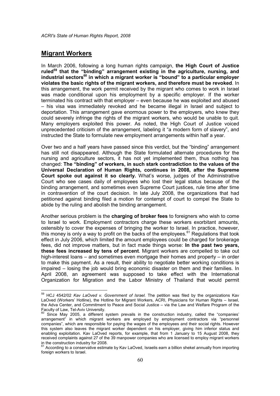### Migrant Workers

-

In March 2006, following a long human rights campaign, the High Court of Justice ruled<sup>59</sup> that the "binding" arrangement existing in the agriculture, nursing, and industrial sectors<sup>60</sup> in which a migrant worker is "bound" to a particular employer violates the basic rights of the migrant workers, and therefore must be revoked. In this arrangement, the work permit received by the migrant who comes to work in Israel was made conditional upon his employment by a specific employer. If the worker terminated his contract with that employer – even because he was exploited and abused – his visa was immediately revoked and he became illegal in Israel and subject to deportation. This arrangement gave enormous power to the employers, who knew they could severely infringe the rights of the migrant workers, who would be unable to quit. Many employers exploited this power. As noted, the High Court of Justice voiced unprecedented criticism of the arrangement, labeling it "a modern form of slavery", and instructed the State to formulate new employment arrangements within half a year.

Over two and a half years have passed since this verdict, but the "binding" arrangement has still not disappeared. Although the State formulated alternate procedures for the nursing and agriculture sectors, it has not yet implemented them, thus nothing has changed: The "binding" of workers, in such stark contradiction to the values of the Universal Declaration of Human Rights, continues in 2008, after the Supreme Court spoke out against it so clearly. What's worse, judges of the Administrative Court who see cases daily of employees who lost their legal status because of the binding arrangement, and sometimes even Supreme Court justices, rule time after time in contravention of the court decision. In late July 2008, the organizations that had petitioned against binding filed a motion for contempt of court to compel the State to abide by the ruling and abolish the binding arrangement.

Another serious problem is the **charging of broker fees** to foreigners who wish to come to Israel to work. Employment contractors charge these workers exorbitant amounts, ostensibly to cover the expenses of bringing the worker to Israel. In practice, however, this money is only a way to profit on the backs of the employees.<sup>61</sup> Regulations that took effect in July 2006, which limited the amount employees could be charged for brokerage fees, did not improve matters, but in fact made things worse: In the past two years, these fees increased by tens of percent. Migrant workers are compelled to take out high-interest loans – and sometimes even mortgage their homes and property – in order to make this payment. As a result, their ability to negotiate better working conditions is impaired – losing the job would bring economic disaster on them and their families. In April 2008, an agreement was supposed to take effect with the International Organization for Migration and the Labor Ministry of Thailand that would permit

 $59$  HCJ 4542/02 Kav LaOved v. Government of Israel. The petition was filed by the organizations Kav LaOved (Workers' Hotline), the Hotline for Migrant Workers, ACRI, Physicians for Human Rights – Israel, the Adva Center, and Commitment to Peace and Social Justice – via the Law and Welfare Program of the Faculty of Law, Tel-Aviv University.<br><sup>60</sup> Since May 2005, a different system prevails in the construction industry, called the "companies'

arrangement" in which migrant workers are employed by employment contractors via "personnel companies", which are responsible for paying the wages of the employees and their social rights. However this system also leaves the migrant worker dependent on his employer, giving him inferior status and enabling exploitation. Kav LaOved reports, for example, that from 1 January to 15 August 2008, they received complaints against 27 of the 39 manpower companies who are licensed to employ migrant workers in the construction industry for 2008.

<sup>&</sup>lt;sup>61</sup> According to a conservative estimate by Kav LaOved, Israelis earn a billion shekel annually from importing foreign workers to Israel.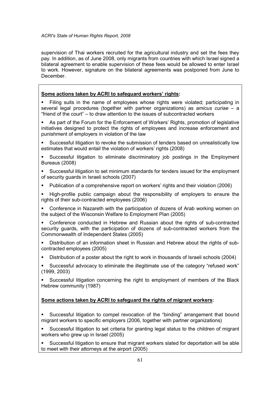supervision of Thai workers recruited for the agricultural industry and set the fees they pay. In addition, as of June 2008, only migrants from countries with which Israel signed a bilateral agreement to enable supervision of these fees would be allowed to enter Israel to work. However, signature on the bilateral agreements was postponed from June to December.

### Some actions taken by ACRI to safeguard workers' rights:

 Filing suits in the name of employees whose rights were violated; participating in several legal procedures (together with partner organizations) as amicus curiae – a "friend of the court" – to draw attention to the issues of subcontracted workers

 As part of the Forum for the Enforcement of Workers' Rights, promotion of legislative initiatives designed to protect the rights of employees and increase enforcement and punishment of employers in violation of the law

- Successful litigation to revoke the submission of tenders based on unrealistically low estimates that would entail the violation of workers' rights (2008)
- Successful litigation to eliminate discriminatory job postings in the Employment Bureaus (2008)
- Successful litigation to set minimum standards for tenders issued for the employment of security guards in Israeli schools (2007)
- Publication of a comprehensive report on workers' rights and their violation (2006)
- High-profile public campaign about the responsibility of employers to ensure the rights of their sub-contracted employees (2006)
- Conference in Nazareth with the participation of dozens of Arab working women on the subject of the Wisconsin Welfare to Employment Plan (2005)
- Conference conducted in Hebrew and Russian about the rights of sub-contracted security guards, with the participation of dozens of sub-contracted workers from the Commonwealth of Independent States (2005)
- Distribution of an information sheet in Russian and Hebrew about the rights of subcontracted employees (2005)
- Distribution of a poster about the right to work in thousands of Israeli schools (2004)
- Successful advocacy to eliminate the illegitimate use of the category "refused work" (1999, 2003)

 Successful litigation concerning the right to employment of members of the Black Hebrew community (1987)

### Some actions taken by ACRI to safeguard the rights of migrant workers:

 Successful litigation to compel revocation of the "binding" arrangement that bound migrant workers to specific employers (2006, together with partner organizations)

 Successful litigation to set criteria for granting legal status to the children of migrant workers who grew up in Israel (2005)

 Successful litigation to ensure that migrant workers slated for deportation will be able to meet with their attorneys at the airport (2005)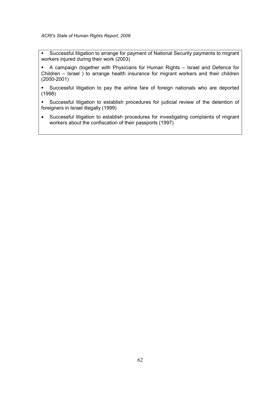- Successful litigation to arrange for payment of National Security payments to migrant workers injured during their work (2003)
- A campaign (together with Physicians for Human Rights Israel and Defence for Children – Israel ) to arrange health insurance for migrant workers and their children (2000-2001)
- Successful litigation to pay the airline fare of foreign nationals who are deported (1998)
- Successful litigation to establish procedures for judicial review of the detention of foreigners in Israel illegally (1999)
- Successful litigation to establish procedures for investigating complaints of migrant workers about the confiscation of their passports (1997)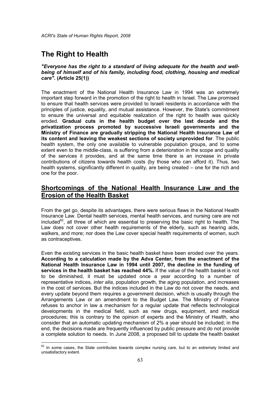## The Right to Health

 $\overline{\phantom{a}}$ 

#### "Everyone has the right to a standard of living adequate for the health and wellbeing of himself and of his family, including food, clothing, housing and medical care". (Article 25(1))

The enactment of the National Health Insurance Law in 1994 was an extremely important step forward in the promotion of the right to health in Israel. The Law promised to ensure that health services were provided to Israeli residents in accordance with the principles of justice, equality, and mutual assistance. However, the State's commitment to ensure the universal and equitable realization of the right to health was quickly eroded. Gradual cuts in the health budget over the last decade and the privatization process promoted by successive Israeli governments and the Ministry of Finance are gradually stripping the National Health Insurance Law of its content and leaving the weakest sections of society unprovided for. The public health system, the only one available to vulnerable population groups, and to some extent even to the middle-class, is suffering from a deterioration in the scope and quality of the services it provides, and at the same time there is an increase in private contributions of citizens towards health costs (by those who can afford it). Thus, two health systems, significantly different in quality, are being created – one for the rich and one for the poor.

## Shortcomings of the National Health Insurance Law and the Erosion of the Health Basket

From the get go, despite its advantages, there were serious flaws in the National Health Insurance Law. Dental health services, mental health services, and nursing care are not included<sup>62</sup>, all three of which are essential to preserving the basic right to health. The Law does not cover other health requirements of the elderly, such as hearing aids, walkers, and more; nor does the Law cover special health requirements of women, such as contraceptives.

Even the existing services in the basic health basket have been eroded over the years. According to a calculation made by the Adva Center, from the enactment of the National Health Insurance Law in 1994 until 2007, the decline in the funding of services in the health basket has reached 44%. If the value of the health basket is not to be diminished, it must be updated once a year according to a number of representative indices, inter alia, population growth, the aging population, and increases in the cost of services. But the indices included in the Law do not cover the needs, and every update beyond them requires a government decision, which is usually through the Arrangements Law or an amendment to the Budget Law. The Ministry of Finance refuses to anchor in law a mechanism for a regular update that reflects technological developments in the medical field, such as new drugs, equipment, and medical procedures; this is contrary to the opinion of experts and the Ministry of Health, who consider that an automatic updating mechanism of 2% a year should be included; in the end, the decisions made are frequently influenced by public pressure and do not provide a complete solution to needs. In June 2008, a proposed bill to update the health basket

 $62$  In some cases, the State contributes towards complex nursing care, but to an extremely limited and unsatisfactory extent.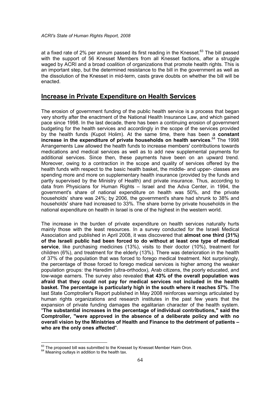at a fixed rate of 2% per annum passed its first reading in the Knesset. $63$  The bill passed with the support of 56 Knesset Members from all Knesset factions, after a struggle waged by ACRI and a broad coalition of organizations that promote health rights. This is an important step, but the determined resistance to the bill in the government as well as the dissolution of the Knesset in mid-term, casts grave doubts on whether the bill will be enacted.

### Increase in Private Expenditure on Health Services

The erosion of government funding of the public health service is a process that began very shortly after the enactment of the National Health Insurance Law, and which gained pace since 1998. In the last decade, there has been a continuing erosion of government budgeting for the health services and accordingly in the scope of the services provided by the health funds (Kupot Holim). At the same time, there has been a constant increase in the expenditure of private households on health services.<sup>64</sup> The 1998 Arrangements Law allowed the health funds to increase members' contributions towards medications and medical services as well as to add new supplemental payments for additional services. Since then, these payments have been on an upward trend. Moreover, owing to a contraction in the scope and quality of services offered by the health funds with respect to the basic health basket, the middle- and upper- classes are spending more and more on supplementary health insurance (provided by the funds and partly supervised by the Ministry of Health) and private insurance. Thus, according to data from Physicians for Human Rights – Israel and the Adva Center, in 1994, the government's share of national expenditure on health was 50%, and the private households' share was 24%; by 2006, the government's share had shrunk to 38% and households' share had increased to 33%. The share borne by private households in the national expenditure on health in Israel is one of the highest in the western world.

The increase in the burden of private expenditure on health services naturally hurts mainly those with the least resources. In a survey conducted for the Israeli Medical Association and published in April 2008, it was discovered that almost one third (31%) of the Israeli public had been forced to do without at least one type of medical service, like purchasing medicines (13%), visits to their doctor (10%), treatment for children (6%), and treatment for the elderly (13%). There was deterioration in the health of 37% of the population that was forced to forego medical treatment. Not surprisingly, the percentage of those forced to forego medical services is higher among the weaker population groups: the Haredim (ultra-orthodox), Arab citizens, the poorly educated, and low-wage earners. The survey also revealed that 43% of the overall population was afraid that they could not pay for medical services not included in the health basket. The percentage is particularly high in the south where it reaches 57%. The last State Comptroller's Report published in May 2008 reinforces warnings articulated by human rights organizations and research institutes in the past few years that the expansion of private funding damages the egalitarian character of the health system. "The substantial increases in the percentage of individual contributions," said the Comptroller, "were approved in the absence of a deliberate policy and with no overall vision by the Ministries of Health and Finance to the detriment of patients – who are the only ones affected".

 $\overline{\phantom{a}}$ 

 $\frac{63}{1}$  The proposed bill was submitted to the Knesset by Knesset Member Haim Oron.

 $64$  Meaning outlays in addition to the health tax.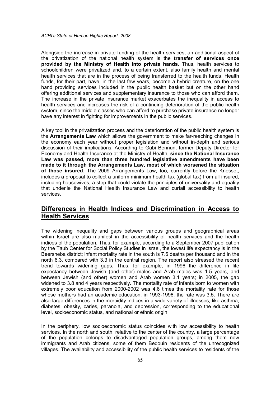Alongside the increase in private funding of the health services, an additional aspect of the privatization of the national health system is the transfer of services once provided by the Ministry of Health into private hands. Thus, health services to schoolchildren were privatized and, to a certain extent, also family health and mental health services that are in the process of being transferred to the health funds. Health funds, for their part, have, in the last few years, become a hybrid creature, on the one hand providing services included in the public health basket but on the other hand offering additional services and supplementary insurance to those who can afford them. The increase in the private insurance market exacerbates the inequality in access to health services and increases the risk of a continuing deterioration of the public health system, since the middle classes who can afford to purchase private insurance no longer have any interest in fighting for improvements in the public services.

A key tool in the privatization process and the deterioration of the public health system is the Arrangements Law which allows the government to make far-reaching changes in the economy each year without proper legislation and without in-depth and serious discussion of their implications. According to Gabi Bennun, former Deputy Director for Economy and Health Insurance at the Ministry of Health, since the National Insurance Law was passed, more than three hundred legislative amendments have been made to it through the Arrangements Law, most of which worsened the situation of those insured. The 2009 Arrangements Law, too, currently before the Knesset, includes a proposal to collect a uniform minimum health tax (global tax) from all insured, including housewives, a step that could violate the principles of universality and equality that underlie the National Health Insurance Law and curtail accessibility to health services.

## Differences in Health Indices and Discrimination in Access to Health Services

The widening inequality and gaps between various groups and geographical areas within Israel are also manifest in the accessibility of health services and the health indices of the population. Thus, for example, according to a September 2007 publication by the Taub Center for Social Policy Studies in Israel, the lowest life expectancy is in the Beersheba district; infant mortality rate in the south is 7.6 deaths per thousand and in the north 6.3, compared with 3.3 in the central region. The report also stressed the recent trend towards widening gaps. Thus, for example, in 1996 the difference in life expectancy between Jewish (and other) males and Arab males was 1.5 years, and between Jewish (and other) women and Arab women 3.1 years; in 2005, the gap widened to 3.8 and 4 years respectively. The mortality rate of infants born to women with extremely poor education from 2000-2002 was 4.6 times the mortality rate for those whose mothers had an academic education; in 1993-1996, the rate was 3.5. There are also large differences in the morbidity indices in a wide variety of illnesses, like asthma, diabetes, obesity, caries, paranoia, and depression, corresponding to the educational level, socioeconomic status, and national or ethnic origin.

In the periphery, low socioeconomic status coincides with low accessibility to health services. In the north and south, relative to the center of the country, a large percentage of the population belongs to disadvantaged population groups, among them new immigrants and Arab citizens, some of them Bedouin residents of the unrecognized villages. The availability and accessibility of the public health services to residents of the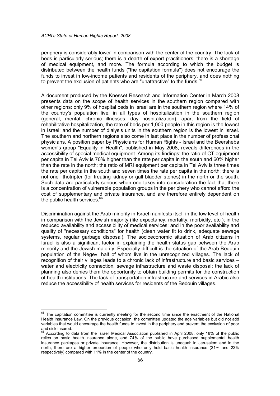-

periphery is considerably lower in comparison with the center of the country. The lack of beds is particularly serious; there is a dearth of expert practitioners; there is a shortage of medical equipment, and more. The formula according to which the budget is distributed between the health funds ("the capitation formula") does not encourage the funds to invest in low-income patients and residents of the periphery, and does nothing to prevent the exclusion of patients who are "unattractive" to the funds.<sup>65</sup>

A document produced by the Knesset Research and Information Center in March 2008 presents data on the scope of health services in the southern region compared with other regions: only 9% of hospital beds in Israel are in the southern region where 14% of the country's population live; in all types of hospitalization in the southern region (general, mental, chronic illnesses, day hospitalization), apart from the field of rehabilitative hospitalization, the rate of beds per 1,000 people in this region is the lowest in Israel; and the number of dialysis units in the southern region is the lowest in Israel. The southern and northern regions also come in last place in the number of professional physicians. A position paper by Physicians for Human Rights - Israel and the Beersheba women's group "Equality in Health", published in May 2008, reveals differences in the accessibility of special medical equipment. Among its findings: the ratio of CT equipment per capita in Tel Aviv is 70% higher than the rate per capita in the south and 60% higher than the rate in the north; the ratio of MRI equipment per capita in Tel Aviv is three times the rate per capita in the south and seven times the rate per capita in the north; there is not one lithotripter (for treating kidney or gall bladder stones) in the north or the south. Such data are particularly serious when one takes into consideration the fact that there is a concentration of vulnerable population groups in the periphery who cannot afford the cost of supplementary and private insurance, and are therefore entirely dependent on the public health services.<sup>66</sup>

Discrimination against the Arab minority in Israel manifests itself in the low level of health in comparison with the Jewish majority (life expectancy, mortality, morbidity, etc.); in the reduced availability and accessibility of medical services; and in the poor availability and quality of "necessary conditions" for health (clean water fit to drink, adequate sewage systems, regular garbage disposal). The socioeconomic situation of Arab citizens in Israel is also a significant factor in explaining the health status gap between the Arab minority and the Jewish majority. Especially difficult is the situation of the Arab Bedouin population of the Negev, half of whom live in the unrecognized villages. The lack of recognition of their villages leads to a chronic lack of infrastructure and basic services – water and electricity connection, sewage infrastructure and waste disposal; the lack of planning also denies them the opportunity to obtain building permits for the construction of health institutions. The lack of transportation infrastructure and services in Arabic also reduce the accessibility of health services for residents of the Bedouin villages.

 $65$  The capitation committee is currently meeting for the second time since the enactment of the National Health Insurance Law. On the previous occasion, the committee updated the age variables but did not add variables that would encourage the health funds to invest in the periphery and prevent the exclusion of poor

and sick insured.<br><sup>66</sup> According to data from the Israeli Medical Association published in April 2008, only 18% of the public relies on basic health insurance alone, and 74% of the public have purchased supplemental health insurance packages or private insurance. However, the distribution is unequal: in Jerusalem and in the north, there are a higher proportion of people who only hold basic health insurance (31% and 23% respectively) compared with 11% in the center of the country.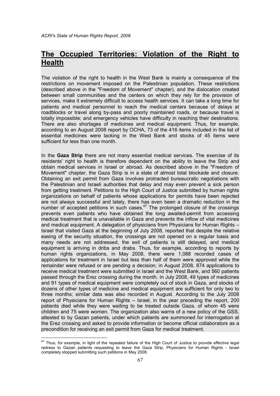# The Occupied Territories: Violation of the Right to **Health**

The violation of the right to health in the West Bank is mainly a consequence of the restrictions on movement imposed on the Palestinian population. These restrictions (described above in the "Freedom of Movement" chapter), and the dislocation created between small communities and the centers on which they rely for the provision of services, make it extremely difficult to access health services. It can take a long time for patients and medical personnel to reach the medical centers because of delays at roadblocks or travel along by-pass and poorly maintained roads, or because travel is totally impossible; and emergency vehicles have difficulty in reaching their destinations. There are also shortages of medicines and medical equipment. Thus, for example, according to an August 2008 report by OCHA, 73 of the 416 items included in the list of essential medicines were lacking in the West Bank and stocks of 45 items were sufficient for less than one month.

In the Gaza Strip there are not many essential medical services. The exercise of its residents' right to health is therefore dependent on the ability to leave the Strip and obtain medical services in Israel or abroad. As described above in the "Freedom of Movement" chapter, the Gaza Strip is in a state of almost total blockade and closure. Obtaining an exit permit from Gaza involves protracted bureaucratic negotiations with the Palestinian and Israeli authorities that delay and may even prevent a sick person from getting treatment. Petitions to the High Court of Justice submitted by human rights organizations on behalf of patients whose applications for permits have been rejected are not always successful and lately, there has even been a dramatic reduction in the number of accepted petitions in such cases. $67$  The prolonged closure of the crossings prevents even patients who have obtained the long awaited-permit from accessing medical treatment that is unavailable in Gaza and prevents the inflow of vital medicines and medical equipment. A delegation of physicians from Physicians for Human Rights – Israel that visited Gaza at the beginning of July 2008, reported that despite the relative easing of the security situation, the crossings are not opened on a regular basis and many needs are not addressed, the exit of patients is still delayed, and medical equipment is arriving in dribs and drabs. Thus, for example, according to reports by human rights organizations, in May 2008, there were 1,088 recorded cases of applications for treatment in Israel but less than half of them were approved while the remainder were refused or are pending a decision; in August 2008, 874 applications to receive medical treatment were submitted in Israel and the West Bank, and 560 patients passed through the Erez crossing during the month. In July 2008, 49 types of medicines and 91 types of medical equipment were completely out of stock in Gaza, and stocks of dozens of other types of medicine and medical equipment are sufficient for only two to three months; similar data was also recorded in August. According to the July 2008 report of Physicians for Human Rights – Israel, in the year preceding the report, 200 patients died while they were waiting to be treated outside Gaza, of whom 45 were children and 75 were women. The organization also warns of a new policy of the GSS, attested to by Gazan patients, under which patients are summoned for interrogation at the Erez crossing and asked to provide information or become official collaborators as a precondition for receiving an exit permit from Gaza for medical treatment.

 $\overline{\phantom{a}}$  $67$  Thus, for example, in light of the repeated failure of the High Court of Justice to provide effective legal redress to Gazan patients requesting to leave the Gaza Strip, Physicians for Human Rights - Israel completely stopped submitting such petitions in May 2008.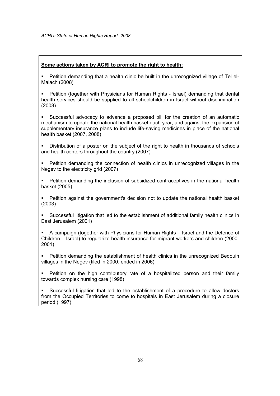### Some actions taken by ACRI to promote the right to health:

- Petition demanding that a health clinic be built in the unrecognized village of Tel el-Malach (2008)
- Petition (together with Physicians for Human Rights Israel) demanding that dental health services should be supplied to all schoolchildren in Israel without discrimination (2008)
- Successful advocacy to advance a proposed bill for the creation of an automatic mechanism to update the national health basket each year, and against the expansion of supplementary insurance plans to include life-saving medicines in place of the national health basket (2007, 2008)
- Distribution of a poster on the subject of the right to health in thousands of schools and health centers throughout the country (2007)
- Petition demanding the connection of health clinics in unrecognized villages in the Negev to the electricity grid (2007)
- Petition demanding the inclusion of subsidized contraceptives in the national health basket (2005)
- Petition against the government's decision not to update the national health basket (2003)
- Successful litigation that led to the establishment of additional family health clinics in East Jerusalem (2001)
- A campaign (together with Physicians for Human Rights Israel and the Defence of Children – Israel) to regularize health insurance for migrant workers and children (2000- 2001)
- Petition demanding the establishment of health clinics in the unrecognized Bedouin villages in the Negev (filed in 2000, ended in 2006)
- Petition on the high contributory rate of a hospitalized person and their family towards complex nursing care (1998)

 Successful litigation that led to the establishment of a procedure to allow doctors from the Occupied Territories to come to hospitals in East Jerusalem during a closure period (1997)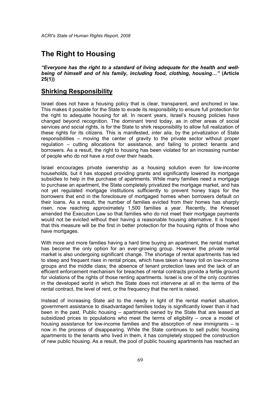## The Right to Housing

"Everyone has the right to a standard of living adequate for the health and wellbeing of himself and of his family, including food, clothing, housing…" (Article 25(1))

## Shirking Responsibility

Israel does not have a housing policy that is clear, transparent, and anchored in law. This makes it possible for the State to evade its responsibility to ensure full protection for the right to adequate housing for all. In recent years, Israel's housing policies have changed beyond recognition. The dominant trend today, as in other areas of social services and social rights, is for the State to shirk responsibility to allow full realization of these rights for its citizens. This is manifested, *inter alia*, by the privatization of State responsibilities – moving the center of gravity to the private sector without proper regulation – cutting allocations for assistance, and failing to protect tenants and borrowers. As a result, the right to housing has been violated for an increasing number of people who do not have a roof over their heads.

Israel encourages private ownership as a housing solution even for low-income households, but it has stopped providing grants and significantly lowered its mortgage subsidies to help in the purchase of apartments. While many families need a mortgage to purchase an apartment, the State completely privatized the mortgage market, and has not yet regulated mortgage institutions sufficiently to prevent honey traps for the borrowers that end in the foreclosure of mortgaged homes when borrowers default on their loans. As a result, the number of families evicted from their homes has sharply risen, now reaching approximately 1,500 families a year. Recently, the Knesset amended the Execution Law so that families who do not meet their mortgage payments would not be evicted without their having a reasonable housing alternative. It is hoped that this measure will be the first in better protection for the housing rights of those who have mortgages.

With more and more families having a hard time buying an apartment, the rental market has become the only option for an ever-growing group. However the private rental market is also undergoing significant change. The shortage of rental apartments has led to steep and frequent rises in rental prices, which have taken a heavy toll on low-income groups and the middle class; the absence of tenant protection laws and the lack of an efficient enforcement mechanism for breaches of rental contracts provide a fertile ground for violations of the rights of those renting apartments. Israel is one of the only countries in the developed world in which the State does not intervene at all in the terms of the rental contract, the level of rent, or the frequency that the rent is raised.

Instead of increasing State aid to the needy in light of the rental market situation, government assistance to disadvantaged families today is significantly lower than it had been in the past. Public housing – apartments owned by the State that are leased at subsidized prices to populations who meet the terms of eligibility – once a model of housing assistance for low-income families and the absorption of new immigrants – is now in the process of disappearing. While the State continues to sell public housing apartments to the tenants who lived in them, it has completely stopped the construction of new public housing. As a result, the pool of public housing apartments has reached an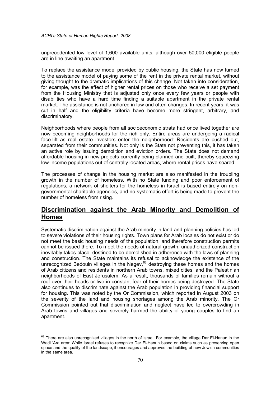unprecedented low level of 1,600 available units, although over 50,000 eligible people are in line awaiting an apartment.

To replace the assistance model provided by public housing, the State has now turned to the assistance model of paying some of the rent in the private rental market, without giving thought to the dramatic implications of this change. Not taken into consideration, for example, was the effect of higher rental prices on those who receive a set payment from the Housing Ministry that is adjusted only once every few years or people with disabilities who have a hard time finding a suitable apartment in the private rental market. The assistance is not anchored in law and often changes: In recent years, it was cut in half and the eligibility criteria have become more stringent, arbitrary, and discriminatory.

Neighborhoods where people from all socioeconomic strata had once lived together are now becoming neighborhoods for the rich only. Entire areas are undergoing a radical face-lift as real estate investors enter the neighborhood: Residents are pushed out, separated from their communities. Not only is the State not preventing this, it has taken an active role by issuing demolition and eviction orders. The State does not demand affordable housing in new projects currently being planned and built, thereby squeezing low-income populations out of centrally located areas, where rental prices have soared.

The processes of change in the housing market are also manifested in the troubling growth in the number of homeless. With no State funding and poor enforcement of regulations, a network of shelters for the homeless in Israel is based entirely on nongovernmental charitable agencies, and no systematic effort is being made to prevent the number of homeless from rising.

## Discrimination against the Arab Minority and Demolition of Homes

Systematic discrimination against the Arab minority in land and planning policies has led to severe violations of their housing rights. Town plans for Arab locales do not exist or do not meet the basic housing needs of the population, and therefore construction permits cannot be issued there. To meet the needs of natural growth, unauthorized construction inevitably takes place, destined to be demolished in adherence with the laws of planning and construction. The State maintains its refusal to acknowledge the existence of the unrecognized Bedouin villages in the Negev,<sup>68</sup> destroying these homes and the homes of Arab citizens and residents in northern Arab towns, mixed cities, and the Palestinian neighborhoods of East Jerusalem. As a result, thousands of families remain without a roof over their heads or live in constant fear of their homes being destroyed. The State also continues to discriminate against the Arab population in providing financial support for housing. This was noted by the Or Commission, which reported in August 2003 on the severity of the land and housing shortages among the Arab minority. The Or Commission pointed out that discrimination and neglect have led to overcrowding in Arab towns and villages and severely harmed the ability of young couples to find an apartment.

 $\overline{\phantom{a}}$ 

 $68$  There are also unrecognized villages in the north of Israel. For example, the village Dar El-Hanun in the Wadi 'Ara area: While Israel refuses to recognize Dar El-Hanun based on claims such as preserving open space and the quality of the landscape, it encourages and approves the building of new Jewish communities in the same area.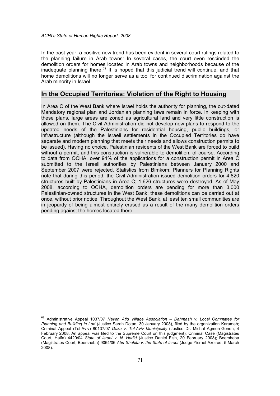In the past year, a positive new trend has been evident in several court rulings related to the planning failure in Arab towns: In several cases, the court even rescinded the demolition orders for homes located in Arab towns and neighborhoods because of the inadequate planning there.<sup>69</sup> It is hoped that this judicial trend will continue, and that home demolitions will no longer serve as a tool for continued discrimination against the Arab minority in Israel.

### In the Occupied Territories: Violation of the Right to Housing

In Area C of the West Bank where Israel holds the authority for planning, the out-dated Mandatory regional plan and Jordanian planning laws remain in force. In keeping with these plans, large areas are zoned as agricultural land and very little construction is allowed on them. The Civil Administration did not develop new plans to respond to the updated needs of the Palestinians for residential housing, public buildings, or infrastructure (although the Israeli settlements in the Occupied Territories do have separate and modern planning that meets their needs and allows construction permits to be issued). Having no choice, Palestinian residents of the West Bank are forced to build without a permit, and this construction is vulnerable to demolition, of course. According to data from OCHA, over 94% of the applications for a construction permit in Area C submitted to the Israeli authorities by Palestinians between January 2000 and September 2007 were rejected. Statistics from Bimkom: Planners for Planning Rights note that during this period, the Civil Administration issued demolition orders for 4,820 structures built by Palestinians in Area C; 1,626 structures were destroyed. As of May 2008, according to OCHA, demolition orders are pending for more than 3,000 Palestinian-owned structures in the West Bank; these demolitions can be carried out at once, without prior notice. Throughout the West Bank, at least ten small communities are in jeopardy of being almost entirely erased as a result of the many demolition orders pending against the homes located there.

 $\overline{\phantom{a}}$ <sup>69</sup> Administrative Appeal 1037/07 Naveh Atid Village Association – Dahmash v. Local Committee for Planning and Building in Lod (Justice Sarah Dotan, 30 January 2008), filed by the organization Karameh; Criminal Appeal (Tel-Aviv) 80137/07 Daka v. Tel-Aviv Municipality (Justice Dr. Michal Agmon-Gonen, 4 February 2008. An appeal was filed to the Supreme Court on this judgment); Criminal Case (Magistrates Court, Haifa) 4420/04 State of Israel v. N. Hadid (Justice Daniel Fish, 20 February 2008); Beersheba (Magistrates Court, Beersheba) 9064/06 Abu Shehita v. the State of Israel (Judge Yisrael Axelrod, 5 March 2008).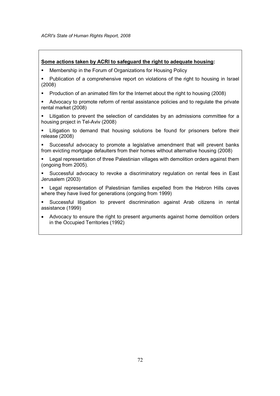### Some actions taken by ACRI to safeguard the right to adequate housing:

- Membership in the Forum of Organizations for Housing Policy
- Publication of a comprehensive report on violations of the right to housing in Israel (2008)
- **Production of an animated film for the Internet about the right to housing (2008)**
- Advocacy to promote reform of rental assistance policies and to regulate the private rental market (2008)
- **EXECT** Litigation to prevent the selection of candidates by an admissions committee for a housing project in Tel-Aviv (2008)
- Litigation to demand that housing solutions be found for prisoners before their release (2008)
- Successful advocacy to promote a legislative amendment that will prevent banks from evicting mortgage defaulters from their homes without alternative housing (2008)
- Legal representation of three Palestinian villages with demolition orders against them (ongoing from 2005).
- Successful advocacy to revoke a discriminatory regulation on rental fees in East Jerusalem (2003)
- Legal representation of Palestinian families expelled from the Hebron Hills caves where they have lived for generations (ongoing from 1999)
- Successful litigation to prevent discrimination against Arab citizens in rental assistance (1999)
- Advocacy to ensure the right to present arguments against home demolition orders in the Occupied Territories (1992)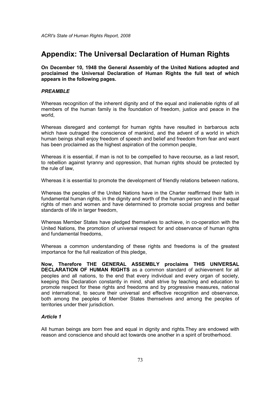# Appendix: The Universal Declaration of Human Rights

On December 10, 1948 the General Assembly of the United Nations adopted and proclaimed the Universal Declaration of Human Rights the full text of which appears in the following pages.

## PREAMBLE

Whereas recognition of the inherent dignity and of the equal and inalienable rights of all members of the human family is the foundation of freedom, justice and peace in the world,

Whereas disregard and contempt for human rights have resulted in barbarous acts which have outraged the conscience of mankind, and the advent of a world in which human beings shall enjoy freedom of speech and belief and freedom from fear and want has been proclaimed as the highest aspiration of the common people,

Whereas it is essential, if man is not to be compelled to have recourse, as a last resort, to rebellion against tyranny and oppression, that human rights should be protected by the rule of law,

Whereas it is essential to promote the development of friendly relations between nations,

Whereas the peoples of the United Nations have in the Charter reaffirmed their faith in fundamental human rights, in the dignity and worth of the human person and in the equal rights of men and women and have determined to promote social progress and better standards of life in larger freedom,

Whereas Member States have pledged themselves to achieve, in co-operation with the United Nations, the promotion of universal respect for and observance of human rights and fundamental freedoms,

Whereas a common understanding of these rights and freedoms is of the greatest importance for the full realization of this pledge,

Now, Therefore THE GENERAL ASSEMBLY proclaims THIS UNIVERSAL DECLARATION OF HUMAN RIGHTS as a common standard of achievement for all peoples and all nations, to the end that every individual and every organ of society, keeping this Declaration constantly in mind, shall strive by teaching and education to promote respect for these rights and freedoms and by progressive measures, national and international, to secure their universal and effective recognition and observance, both among the peoples of Member States themselves and among the peoples of territories under their jurisdiction.

# Article 1

All human beings are born free and equal in dignity and rights.They are endowed with reason and conscience and should act towards one another in a spirit of brotherhood.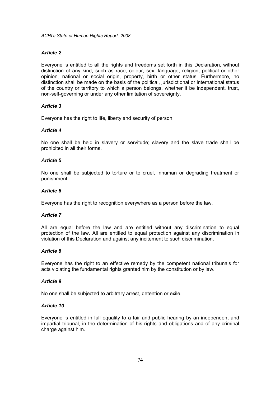## Article 2

Everyone is entitled to all the rights and freedoms set forth in this Declaration, without distinction of any kind, such as race, colour, sex, language, religion, political or other opinion, national or social origin, property, birth or other status. Furthermore, no distinction shall be made on the basis of the political, jurisdictional or international status of the country or territory to which a person belongs, whether it be independent, trust, non-self-governing or under any other limitation of sovereignty.

## Article 3

Everyone has the right to life, liberty and security of person.

#### Article 4

No one shall be held in slavery or servitude; slavery and the slave trade shall be prohibited in all their forms.

#### Article 5

No one shall be subjected to torture or to cruel, inhuman or degrading treatment or punishment.

## Article 6

Everyone has the right to recognition everywhere as a person before the law.

### Article 7

All are equal before the law and are entitled without any discrimination to equal protection of the law. All are entitled to equal protection against any discrimination in violation of this Declaration and against any incitement to such discrimination.

### Article 8

Everyone has the right to an effective remedy by the competent national tribunals for acts violating the fundamental rights granted him by the constitution or by law.

## Article 9

No one shall be subjected to arbitrary arrest, detention or exile.

## Article 10

Everyone is entitled in full equality to a fair and public hearing by an independent and impartial tribunal, in the determination of his rights and obligations and of any criminal charge against him.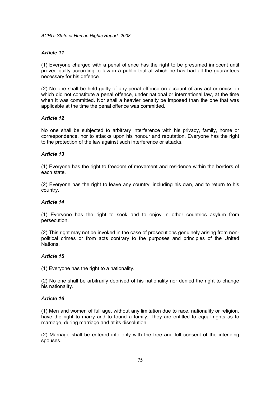## Article 11

(1) Everyone charged with a penal offence has the right to be presumed innocent until proved guilty according to law in a public trial at which he has had all the guarantees necessary for his defence.

(2) No one shall be held guilty of any penal offence on account of any act or omission which did not constitute a penal offence, under national or international law, at the time when it was committed. Nor shall a heavier penalty be imposed than the one that was applicable at the time the penal offence was committed.

## Article 12

No one shall be subjected to arbitrary interference with his privacy, family, home or correspondence, nor to attacks upon his honour and reputation. Everyone has the right to the protection of the law against such interference or attacks.

## Article 13

(1) Everyone has the right to freedom of movement and residence within the borders of each state.

(2) Everyone has the right to leave any country, including his own, and to return to his country.

## Article 14

(1) Everyone has the right to seek and to enjoy in other countries asylum from persecution.

(2) This right may not be invoked in the case of prosecutions genuinely arising from nonpolitical crimes or from acts contrary to the purposes and principles of the United Nations.

## Article 15

(1) Everyone has the right to a nationality.

(2) No one shall be arbitrarily deprived of his nationality nor denied the right to change his nationality.

## Article 16

(1) Men and women of full age, without any limitation due to race, nationality or religion, have the right to marry and to found a family. They are entitled to equal rights as to marriage, during marriage and at its dissolution.

(2) Marriage shall be entered into only with the free and full consent of the intending spouses.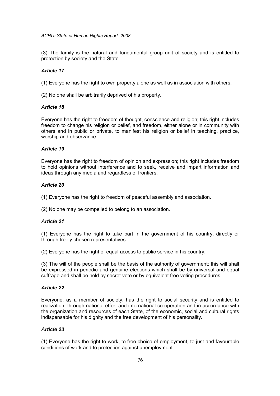## ACRI's State of Human Rights Report, 2008

(3) The family is the natural and fundamental group unit of society and is entitled to protection by society and the State.

# Article 17

(1) Everyone has the right to own property alone as well as in association with others.

(2) No one shall be arbitrarily deprived of his property.

## Article 18

Everyone has the right to freedom of thought, conscience and religion; this right includes freedom to change his religion or belief, and freedom, either alone or in community with others and in public or private, to manifest his religion or belief in teaching, practice, worship and observance.

# Article 19

Everyone has the right to freedom of opinion and expression; this right includes freedom to hold opinions without interference and to seek, receive and impart information and ideas through any media and regardless of frontiers.

# Article 20

(1) Everyone has the right to freedom of peaceful assembly and association.

(2) No one may be compelled to belong to an association.

# Article 21

(1) Everyone has the right to take part in the government of his country, directly or through freely chosen representatives.

(2) Everyone has the right of equal access to public service in his country.

(3) The will of the people shall be the basis of the authority of government; this will shall be expressed in periodic and genuine elections which shall be by universal and equal suffrage and shall be held by secret vote or by equivalent free voting procedures.

# Article 22

Everyone, as a member of society, has the right to social security and is entitled to realization, through national effort and international co-operation and in accordance with the organization and resources of each State, of the economic, social and cultural rights indispensable for his dignity and the free development of his personality.

# Article 23

(1) Everyone has the right to work, to free choice of employment, to just and favourable conditions of work and to protection against unemployment.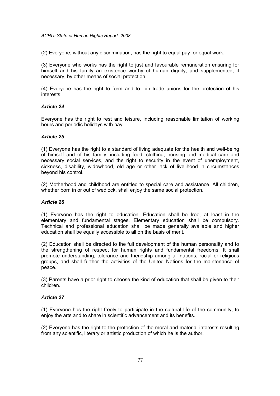## ACRI's State of Human Rights Report, 2008

(2) Everyone, without any discrimination, has the right to equal pay for equal work.

(3) Everyone who works has the right to just and favourable remuneration ensuring for himself and his family an existence worthy of human dignity, and supplemented, if necessary, by other means of social protection.

(4) Everyone has the right to form and to join trade unions for the protection of his interests.

# Article 24

Everyone has the right to rest and leisure, including reasonable limitation of working hours and periodic holidays with pay.

## Article 25

(1) Everyone has the right to a standard of living adequate for the health and well-being of himself and of his family, including food, clothing, housing and medical care and necessary social services, and the right to security in the event of unemployment, sickness, disability, widowhood, old age or other lack of livelihood in circumstances beyond his control.

(2) Motherhood and childhood are entitled to special care and assistance. All children, whether born in or out of wedlock, shall enjoy the same social protection.

# Article 26

(1) Everyone has the right to education. Education shall be free, at least in the elementary and fundamental stages. Elementary education shall be compulsory. Technical and professional education shall be made generally available and higher education shall be equally accessible to all on the basis of merit.

(2) Education shall be directed to the full development of the human personality and to the strengthening of respect for human rights and fundamental freedoms. It shall promote understanding, tolerance and friendship among all nations, racial or religious groups, and shall further the activities of the United Nations for the maintenance of peace.

(3) Parents have a prior right to choose the kind of education that shall be given to their children.

# Article 27

(1) Everyone has the right freely to participate in the cultural life of the community, to enjoy the arts and to share in scientific advancement and its benefits.

(2) Everyone has the right to the protection of the moral and material interests resulting from any scientific, literary or artistic production of which he is the author.